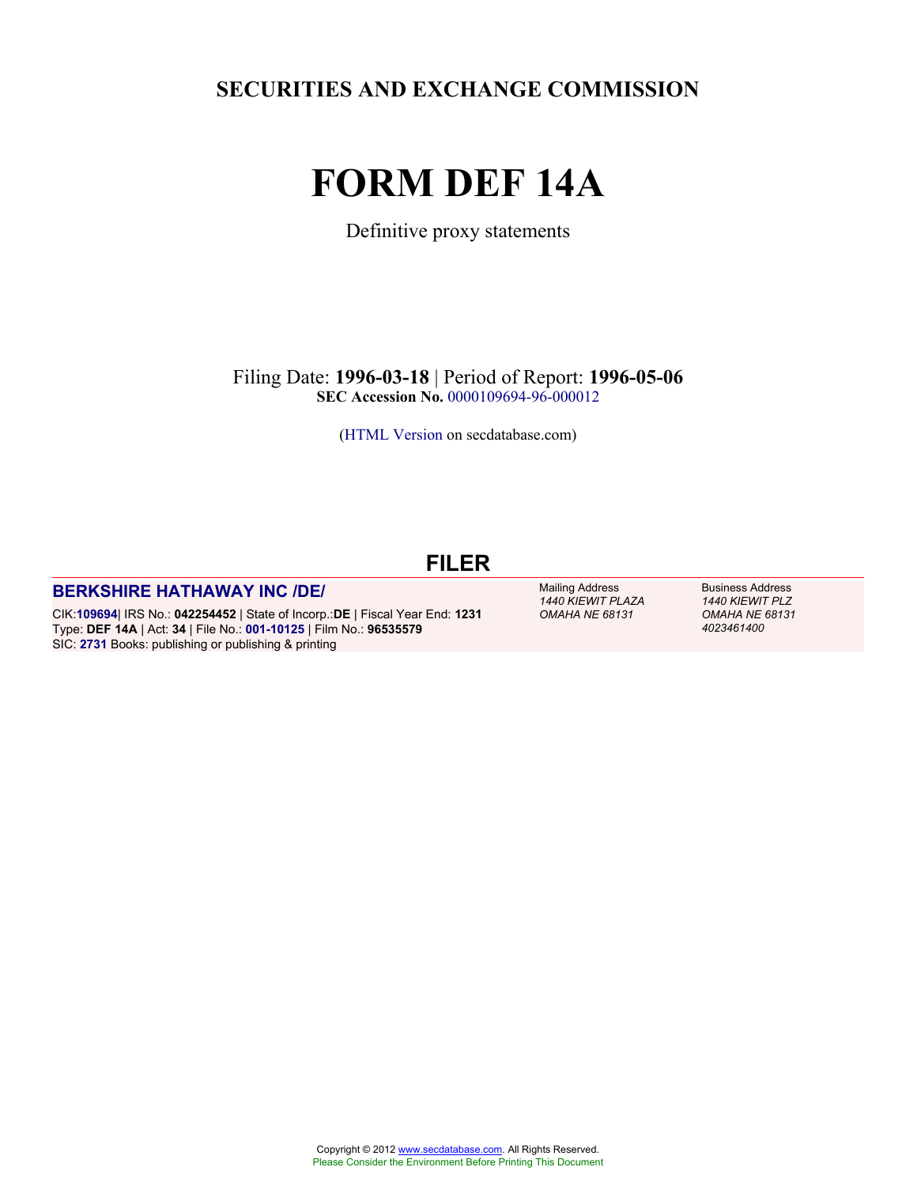**SECURITIES AND EXCHANGE COMMISSION**

# **FORM DEF 14A**

Definitive proxy statements

Filing Date: **1996-03-18** | Period of Report: **1996-05-06 SEC Accession No.** [0000109694-96-000012](http://www.sec.gov/Archives/edgar/data/0000109694/000010969496000012/0000109694-96-000012-index.htm)

[\(HTML Version](http://edgar.secdatabase.com/2917/10969496000012/filing-main.htm) on secdatabase.com)

# **FILER**

#### **[BERKSHIRE HATHAWAY INC /DE/](http://www.secdatabase.com/CIK/109694)**

CIK:**[109694](http://www.secdatabase.com/CIK/109694)**| IRS No.: **042254452** | State of Incorp.:**DE** | Fiscal Year End: **1231** Type: **DEF 14A** | Act: **34** | File No.: **[001-10125](http://www.secdatabase.com/FileNumber/110125)** | Film No.: **96535579** SIC: **[2731](http://www.secdatabase.com/SIC/2731)** Books: publishing or publishing & printing

Mailing Address *1440 KIEWIT PLAZA OMAHA NE 68131*

Business Address *1440 KIEWIT PLZ OMAHA NE 68131 4023461400*

Copyright © 2012 [www.secdatabase.com.](http://www.secdatabase.com) All Rights Reserved. Please Consider the Environment Before Printing This Document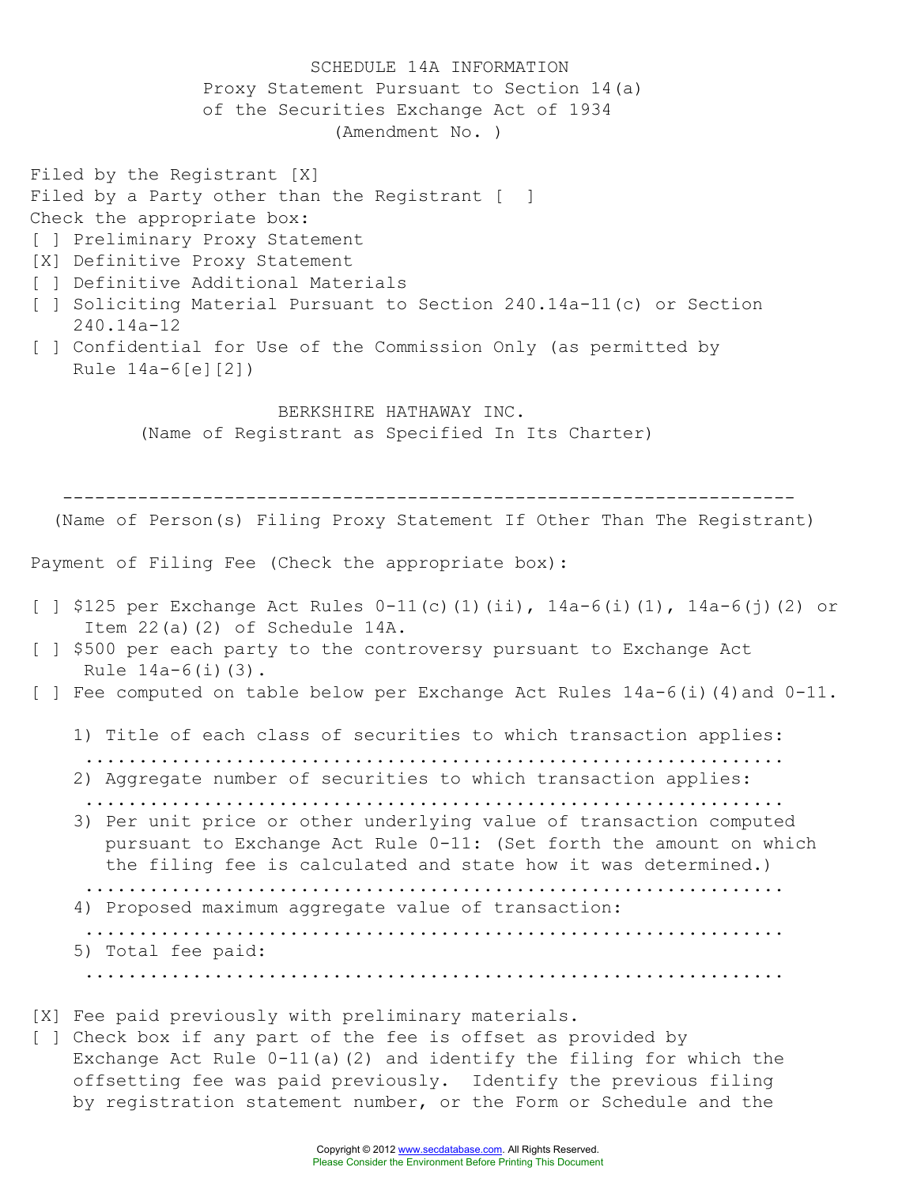SCHEDULE 14A INFORMATION Proxy Statement Pursuant to Section 14(a) of the Securities Exchange Act of 1934 (Amendment No. ) Filed by the Registrant [X] Filed by a Party other than the Registrant [ ] Check the appropriate box: [ ] Preliminary Proxy Statement [X] Definitive Proxy Statement [ ] Definitive Additional Materials [ ] Soliciting Material Pursuant to Section 240.14a-11(c) or Section 240.14a-12 [ ] Confidential for Use of the Commission Only (as permitted by Rule 14a-6[e][2]) BERKSHIRE HATHAWAY INC. (Name of Registrant as Specified In Its Charter) -------------------------------------------------------------------- (Name of Person(s) Filing Proxy Statement If Other Than The Registrant) Payment of Filing Fee (Check the appropriate box): [ ] \$125 per Exchange Act Rules  $0-11(c)$ (1)(ii),  $14a-6(i)$ (1),  $14a-6(i)$ (2) or Item 22(a)(2) of Schedule 14A. [ ] \$500 per each party to the controversy pursuant to Exchange Act Rule  $14a-6(i)(3)$ . [ ] Fee computed on table below per Exchange Act Rules 14a-6(i)(4)and 0-11. 1) Title of each class of securities to which transaction applies: ................................................................. 2) Aggregate number of securities to which transaction applies: ................................................................. 3) Per unit price or other underlying value of transaction computed pursuant to Exchange Act Rule 0-11: (Set forth the amount on which the filing fee is calculated and state how it was determined.) ................................................................. 4) Proposed maximum aggregate value of transaction: ................................................................. 5) Total fee paid: ................................................................. [X] Fee paid previously with preliminary materials. [ ] Check box if any part of the fee is offset as provided by

Exchange Act Rule 0-11(a)(2) and identify the filing for which the offsetting fee was paid previously. Identify the previous filing by registration statement number, or the Form or Schedule and the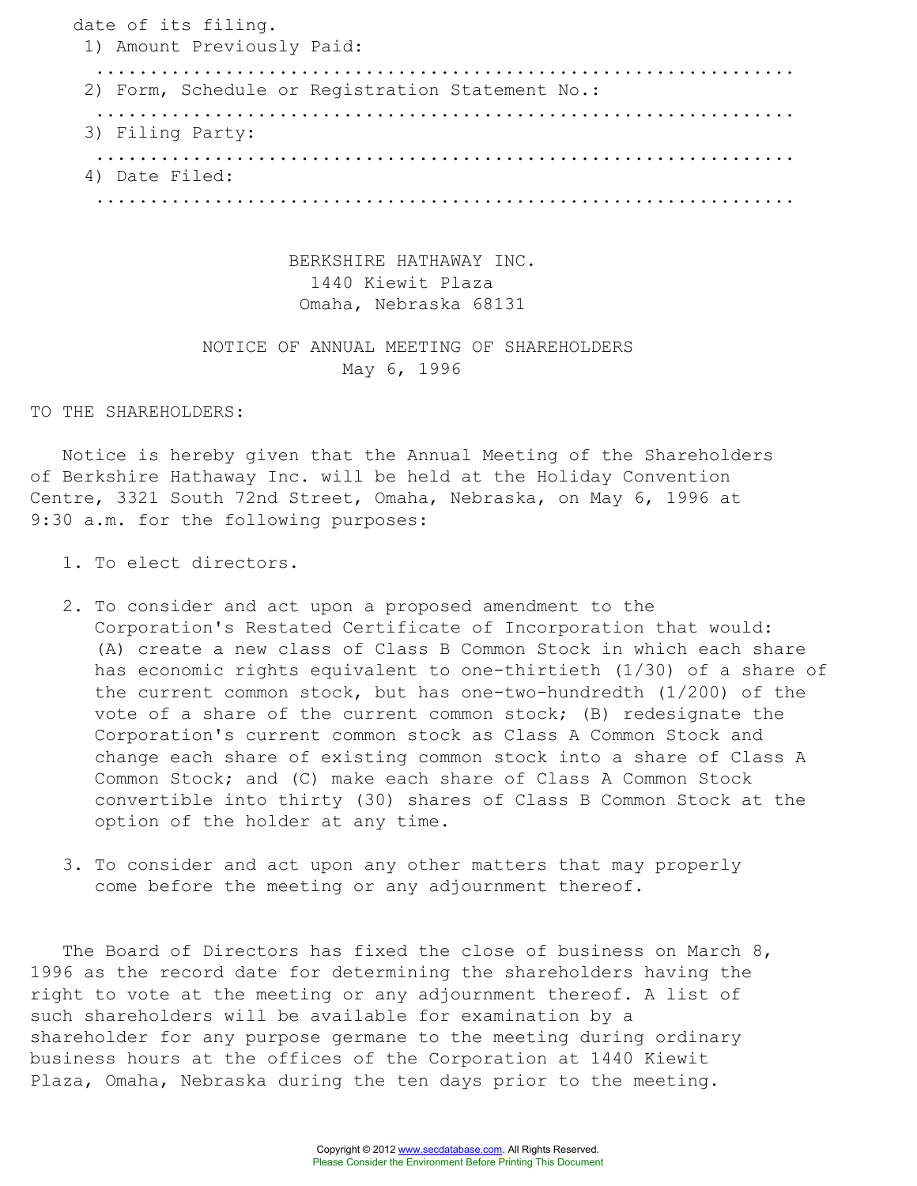date of its filing. 1) Amount Previously Paid: ................................................................. 2) Form, Schedule or Registration Statement No.: ................................................................. 3) Filing Party: ................................................................. 4) Date Filed: .................................................................

> BERKSHIRE HATHAWAY INC. 1440 Kiewit Plaza Omaha, Nebraska 68131

### NOTICE OF ANNUAL MEETING OF SHAREHOLDERS May 6, 1996

TO THE SHAREHOLDERS:

Notice is hereby given that the Annual Meeting of the Shareholders of Berkshire Hathaway Inc. will be held at the Holiday Convention Centre, 3321 South 72nd Street, Omaha, Nebraska, on May 6, 1996 at 9:30 a.m. for the following purposes:

- 1. To elect directors.
- 2. To consider and act upon a proposed amendment to the Corporation's Restated Certificate of Incorporation that would: (A) create a new class of Class B Common Stock in which each share has economic rights equivalent to one-thirtieth (1/30) of a share of the current common stock, but has one-two-hundredth (1/200) of the vote of a share of the current common stock; (B) redesignate the Corporation's current common stock as Class A Common Stock and change each share of existing common stock into a share of Class A Common Stock; and (C) make each share of Class A Common Stock convertible into thirty (30) shares of Class B Common Stock at the option of the holder at any time.
- 3. To consider and act upon any other matters that may properly come before the meeting or any adjournment thereof.

The Board of Directors has fixed the close of business on March 8, 1996 as the record date for determining the shareholders having the right to vote at the meeting or any adjournment thereof. A list of such shareholders will be available for examination by a shareholder for any purpose germane to the meeting during ordinary business hours at the offices of the Corporation at 1440 Kiewit Plaza, Omaha, Nebraska during the ten days prior to the meeting.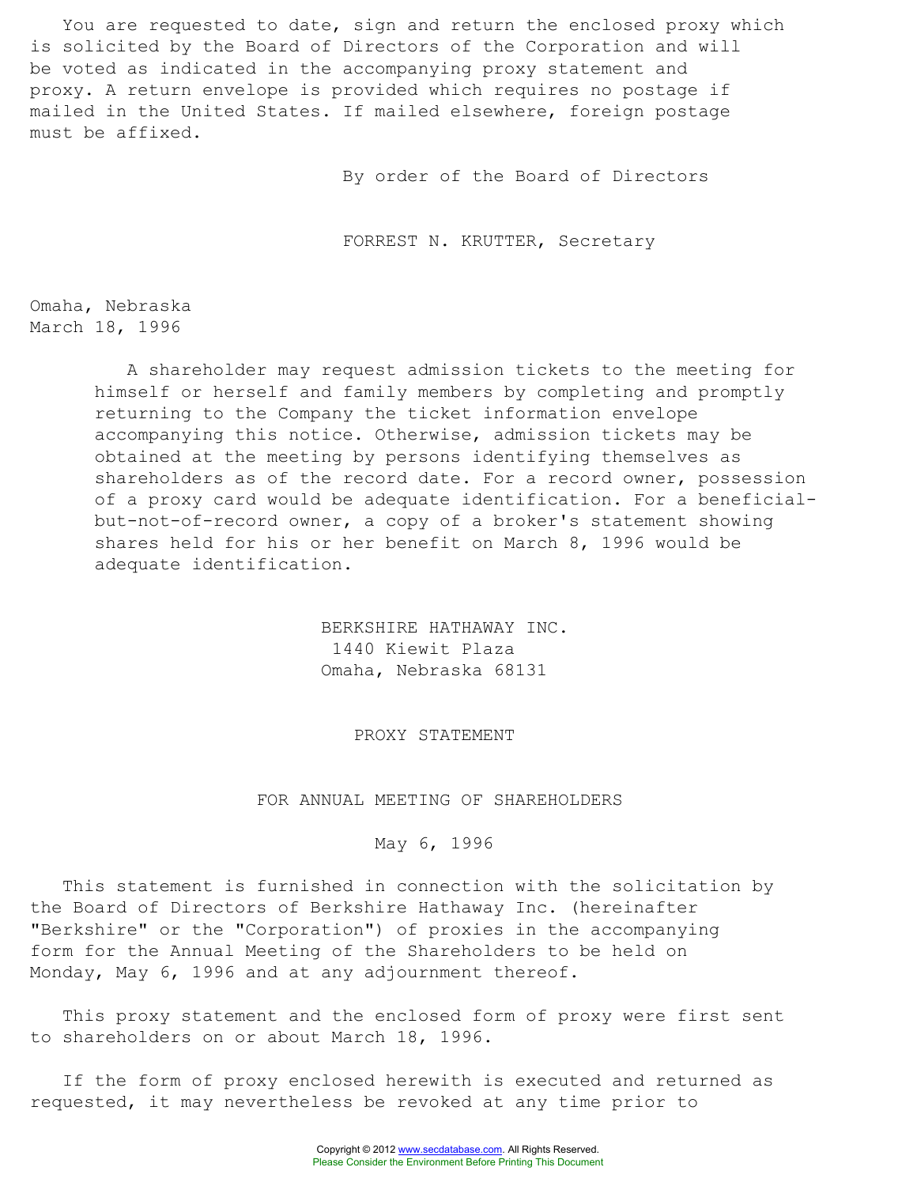You are requested to date, sign and return the enclosed proxy which is solicited by the Board of Directors of the Corporation and will be voted as indicated in the accompanying proxy statement and proxy. A return envelope is provided which requires no postage if mailed in the United States. If mailed elsewhere, foreign postage must be affixed.

By order of the Board of Directors

FORREST N. KRUTTER, Secretary

Omaha, Nebraska March 18, 1996

> A shareholder may request admission tickets to the meeting for himself or herself and family members by completing and promptly returning to the Company the ticket information envelope accompanying this notice. Otherwise, admission tickets may be obtained at the meeting by persons identifying themselves as shareholders as of the record date. For a record owner, possession of a proxy card would be adequate identification. For a beneficialbut-not-of-record owner, a copy of a broker's statement showing shares held for his or her benefit on March 8, 1996 would be adequate identification.

> > BERKSHIRE HATHAWAY INC. 1440 Kiewit Plaza Omaha, Nebraska 68131

> > > PROXY STATEMENT

#### FOR ANNUAL MEETING OF SHAREHOLDERS

#### May 6, 1996

This statement is furnished in connection with the solicitation by the Board of Directors of Berkshire Hathaway Inc. (hereinafter "Berkshire" or the "Corporation") of proxies in the accompanying form for the Annual Meeting of the Shareholders to be held on Monday, May 6, 1996 and at any adjournment thereof.

This proxy statement and the enclosed form of proxy were first sent to shareholders on or about March 18, 1996.

If the form of proxy enclosed herewith is executed and returned as requested, it may nevertheless be revoked at any time prior to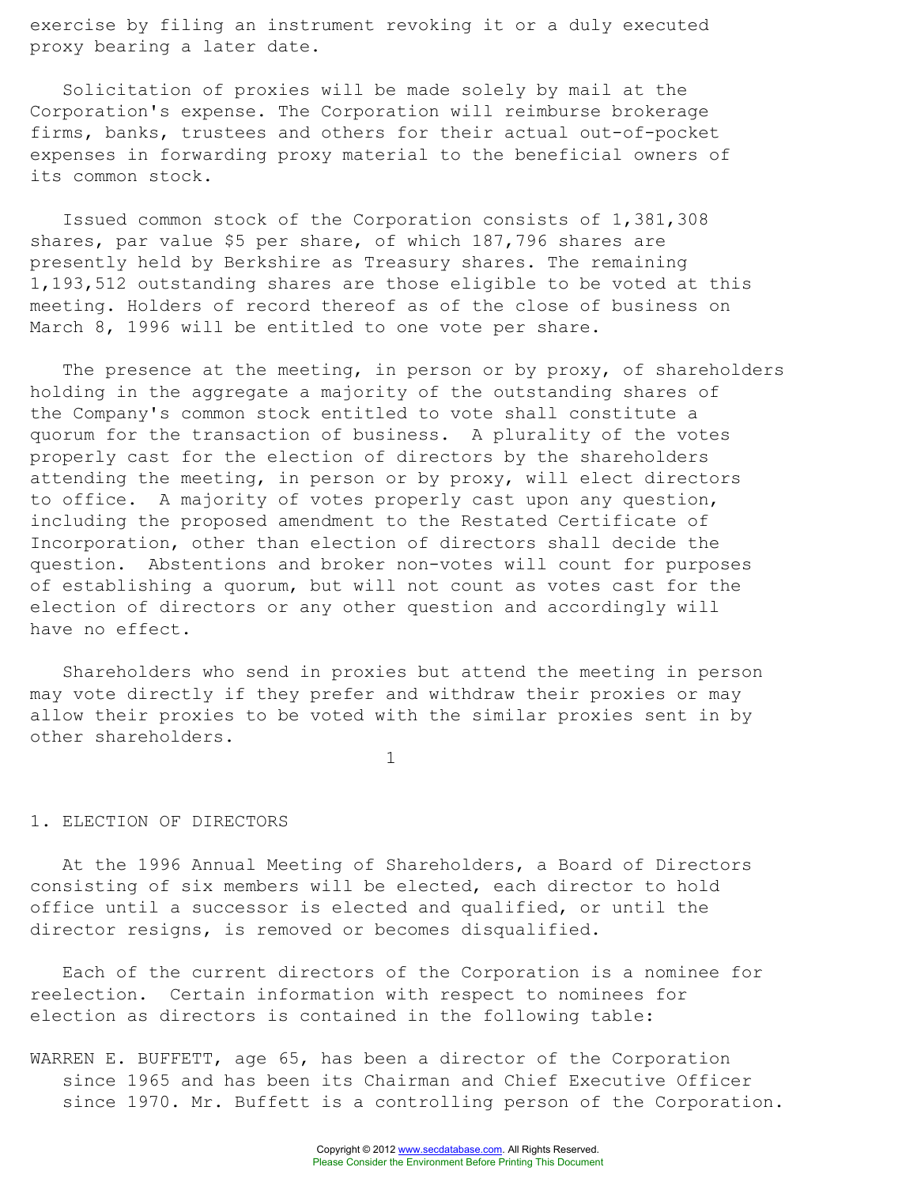exercise by filing an instrument revoking it or a duly executed proxy bearing a later date.

Solicitation of proxies will be made solely by mail at the Corporation's expense. The Corporation will reimburse brokerage firms, banks, trustees and others for their actual out-of-pocket expenses in forwarding proxy material to the beneficial owners of its common stock.

Issued common stock of the Corporation consists of 1,381,308 shares, par value \$5 per share, of which 187,796 shares are presently held by Berkshire as Treasury shares. The remaining 1,193,512 outstanding shares are those eligible to be voted at this meeting. Holders of record thereof as of the close of business on March 8, 1996 will be entitled to one vote per share.

The presence at the meeting, in person or by proxy, of shareholders holding in the aggregate a majority of the outstanding shares of the Company's common stock entitled to vote shall constitute a quorum for the transaction of business. A plurality of the votes properly cast for the election of directors by the shareholders attending the meeting, in person or by proxy, will elect directors to office. A majority of votes properly cast upon any question, including the proposed amendment to the Restated Certificate of Incorporation, other than election of directors shall decide the question. Abstentions and broker non-votes will count for purposes of establishing a quorum, but will not count as votes cast for the election of directors or any other question and accordingly will have no effect.

Shareholders who send in proxies but attend the meeting in person may vote directly if they prefer and withdraw their proxies or may allow their proxies to be voted with the similar proxies sent in by other shareholders.

1

#### 1. ELECTION OF DIRECTORS

At the 1996 Annual Meeting of Shareholders, a Board of Directors consisting of six members will be elected, each director to hold office until a successor is elected and qualified, or until the director resigns, is removed or becomes disqualified.

Each of the current directors of the Corporation is a nominee for reelection. Certain information with respect to nominees for election as directors is contained in the following table:

WARREN E. BUFFETT, age 65, has been a director of the Corporation since 1965 and has been its Chairman and Chief Executive Officer since 1970. Mr. Buffett is a controlling person of the Corporation.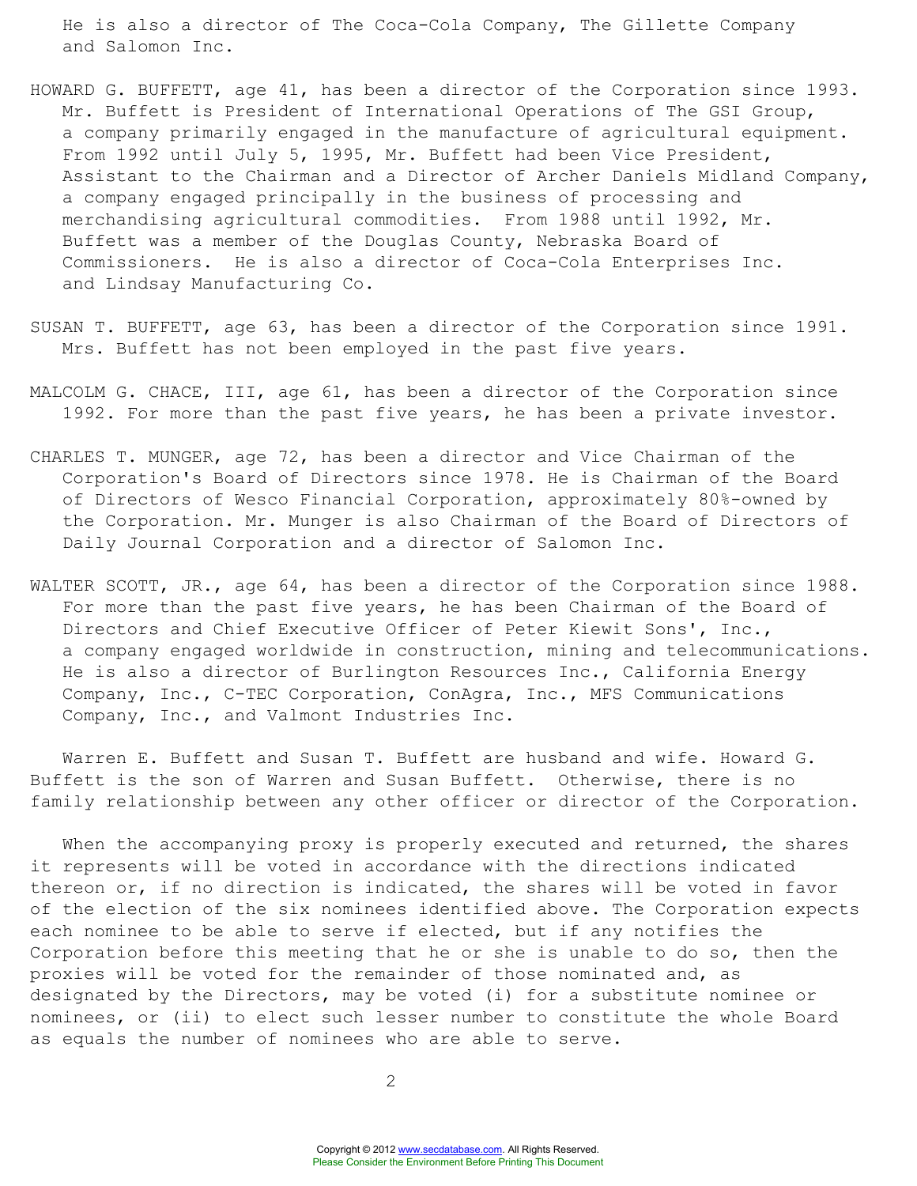He is also a director of The Coca-Cola Company, The Gillette Company and Salomon Inc.

- HOWARD G. BUFFETT, age 41, has been a director of the Corporation since 1993. Mr. Buffett is President of International Operations of The GSI Group, a company primarily engaged in the manufacture of agricultural equipment. From 1992 until July 5, 1995, Mr. Buffett had been Vice President, Assistant to the Chairman and a Director of Archer Daniels Midland Company, a company engaged principally in the business of processing and merchandising agricultural commodities. From 1988 until 1992, Mr. Buffett was a member of the Douglas County, Nebraska Board of Commissioners. He is also a director of Coca-Cola Enterprises Inc. and Lindsay Manufacturing Co.
- SUSAN T. BUFFETT, age 63, has been a director of the Corporation since 1991. Mrs. Buffett has not been employed in the past five years.
- MALCOLM G. CHACE, III, age 61, has been a director of the Corporation since 1992. For more than the past five years, he has been a private investor.
- CHARLES T. MUNGER, age 72, has been a director and Vice Chairman of the Corporation's Board of Directors since 1978. He is Chairman of the Board of Directors of Wesco Financial Corporation, approximately 80%-owned by the Corporation. Mr. Munger is also Chairman of the Board of Directors of Daily Journal Corporation and a director of Salomon Inc.
- WALTER SCOTT, JR., age 64, has been a director of the Corporation since 1988. For more than the past five years, he has been Chairman of the Board of Directors and Chief Executive Officer of Peter Kiewit Sons', Inc., a company engaged worldwide in construction, mining and telecommunications. He is also a director of Burlington Resources Inc., California Energy Company, Inc., C-TEC Corporation, ConAgra, Inc., MFS Communications Company, Inc., and Valmont Industries Inc.

Warren E. Buffett and Susan T. Buffett are husband and wife. Howard G. Buffett is the son of Warren and Susan Buffett. Otherwise, there is no family relationship between any other officer or director of the Corporation.

When the accompanying proxy is properly executed and returned, the shares it represents will be voted in accordance with the directions indicated thereon or, if no direction is indicated, the shares will be voted in favor of the election of the six nominees identified above. The Corporation expects each nominee to be able to serve if elected, but if any notifies the Corporation before this meeting that he or she is unable to do so, then the proxies will be voted for the remainder of those nominated and, as designated by the Directors, may be voted (i) for a substitute nominee or nominees, or (ii) to elect such lesser number to constitute the whole Board as equals the number of nominees who are able to serve.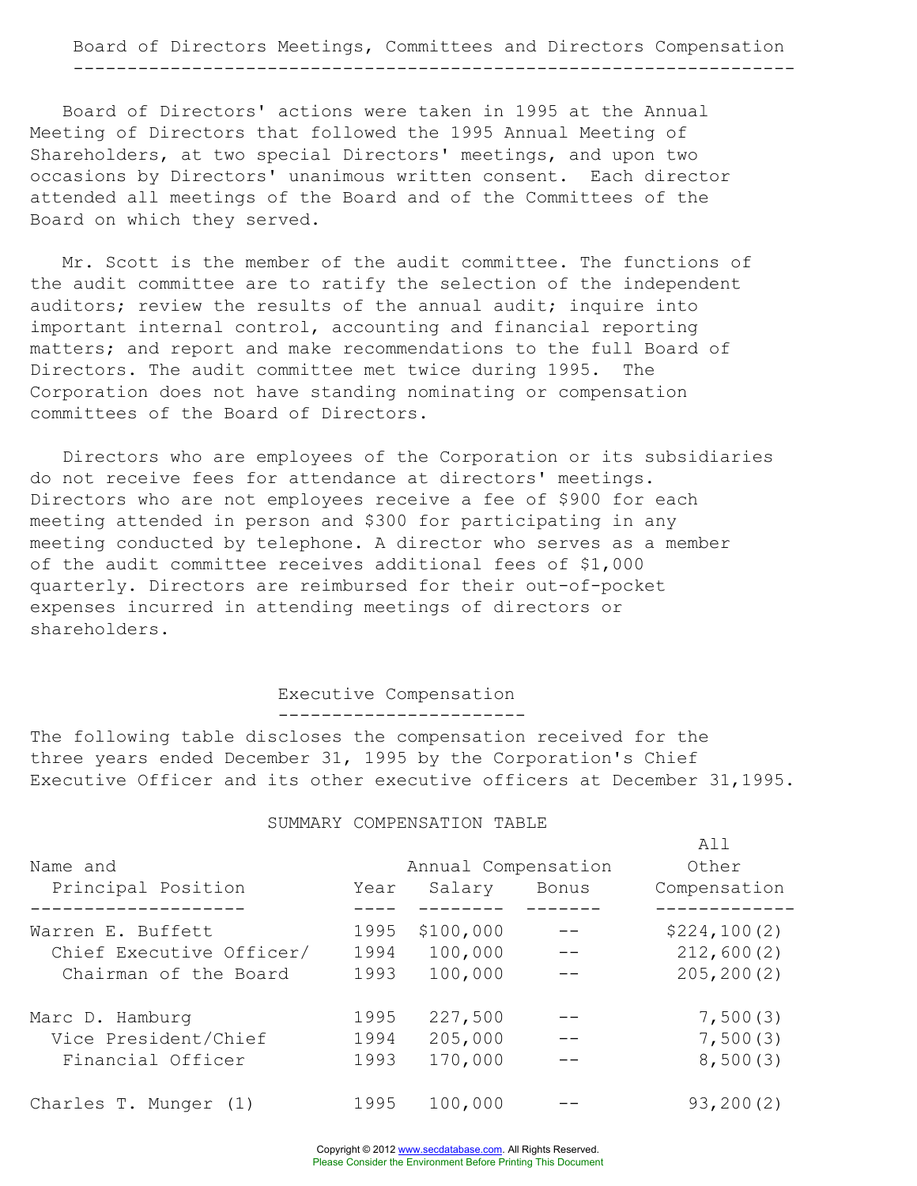Board of Directors' actions were taken in 1995 at the Annual Meeting of Directors that followed the 1995 Annual Meeting of Shareholders, at two special Directors' meetings, and upon two occasions by Directors' unanimous written consent. Each director attended all meetings of the Board and of the Committees of the Board on which they served.

Mr. Scott is the member of the audit committee. The functions of the audit committee are to ratify the selection of the independent auditors; review the results of the annual audit; inquire into important internal control, accounting and financial reporting matters; and report and make recommendations to the full Board of Directors. The audit committee met twice during 1995. The Corporation does not have standing nominating or compensation committees of the Board of Directors.

Directors who are employees of the Corporation or its subsidiaries do not receive fees for attendance at directors' meetings. Directors who are not employees receive a fee of \$900 for each meeting attended in person and \$300 for participating in any meeting conducted by telephone. A director who serves as a member of the audit committee receives additional fees of \$1,000 quarterly. Directors are reimbursed for their out-of-pocket expenses incurred in attending meetings of directors or shareholders.

#### Executive Compensation -----------------------

The following table discloses the compensation received for the three years ended December 31, 1995 by the Corporation's Chief Executive Officer and its other executive officers at December 31,1995.

#### SUMMARY COMPENSATION TABLE

| Name and<br>Principal Position | Year | Annual Compensation<br>Salary Bonus | All<br>Other<br>Compensation |
|--------------------------------|------|-------------------------------------|------------------------------|
| Warren E. Buffett              | 1995 | \$100,000                           | \$224,100(2)                 |
| Chief Executive Officer/       | 1994 | 100,000                             | 212,600(2)                   |
| Chairman of the Board          | 1993 | 100,000                             | 205, 200(2)                  |
| Marc D. Hamburg                | 1995 | 227,500                             | 7,500(3)                     |
| Vice President/Chief           | 1994 | 205,000                             | 7,500(3)                     |
| Financial Officer              | 1993 | 170,000                             | 8,500(3)                     |
| Charles T. Munger (1)          | 1995 | 100,000                             | 93, 200(2)                   |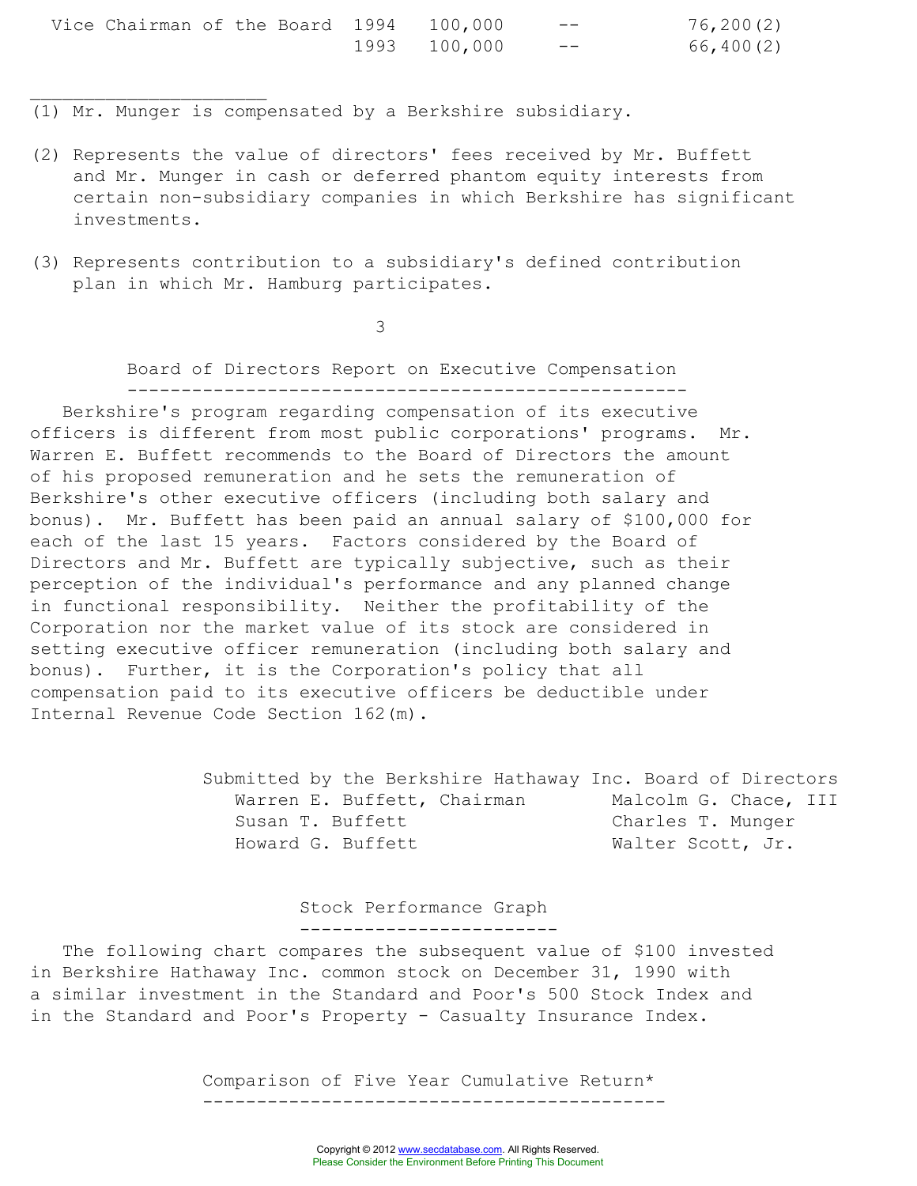| Vice Chairman of the Board 1994 100,000 |  |  |              | $- -$ | 76, 200(2) |
|-----------------------------------------|--|--|--------------|-------|------------|
|                                         |  |  | 1993 100,000 | $- -$ | 66,400(2)  |

(1) Mr. Munger is compensated by a Berkshire subsidiary.

 $\overline{\phantom{a}}$  , where  $\overline{\phantom{a}}$  , where  $\overline{\phantom{a}}$  , where  $\overline{\phantom{a}}$ 

- (2) Represents the value of directors' fees received by Mr. Buffett and Mr. Munger in cash or deferred phantom equity interests from certain non-subsidiary companies in which Berkshire has significant investments.
- (3) Represents contribution to a subsidiary's defined contribution plan in which Mr. Hamburg participates.

3

Board of Directors Report on Executive Compensation ----------------------------------------------------

Berkshire's program regarding compensation of its executive officers is different from most public corporations' programs. Mr. Warren E. Buffett recommends to the Board of Directors the amount of his proposed remuneration and he sets the remuneration of Berkshire's other executive officers (including both salary and bonus). Mr. Buffett has been paid an annual salary of \$100,000 for each of the last 15 years. Factors considered by the Board of Directors and Mr. Buffett are typically subjective, such as their perception of the individual's performance and any planned change in functional responsibility. Neither the profitability of the Corporation nor the market value of its stock are considered in setting executive officer remuneration (including both salary and bonus). Further, it is the Corporation's policy that all compensation paid to its executive officers be deductible under Internal Revenue Code Section 162(m).

> Submitted by the Berkshire Hathaway Inc. Board of Directors Warren E. Buffett, Chairman Malcolm G. Chace, III Susan T. Buffett Charles T. Munger Howard G. Buffett Walter Scott, Jr.

> > Stock Performance Graph ------------------------

The following chart compares the subsequent value of \$100 invested in Berkshire Hathaway Inc. common stock on December 31, 1990 with a similar investment in the Standard and Poor's 500 Stock Index and in the Standard and Poor's Property - Casualty Insurance Index.

> Comparison of Five Year Cumulative Return\* -------------------------------------------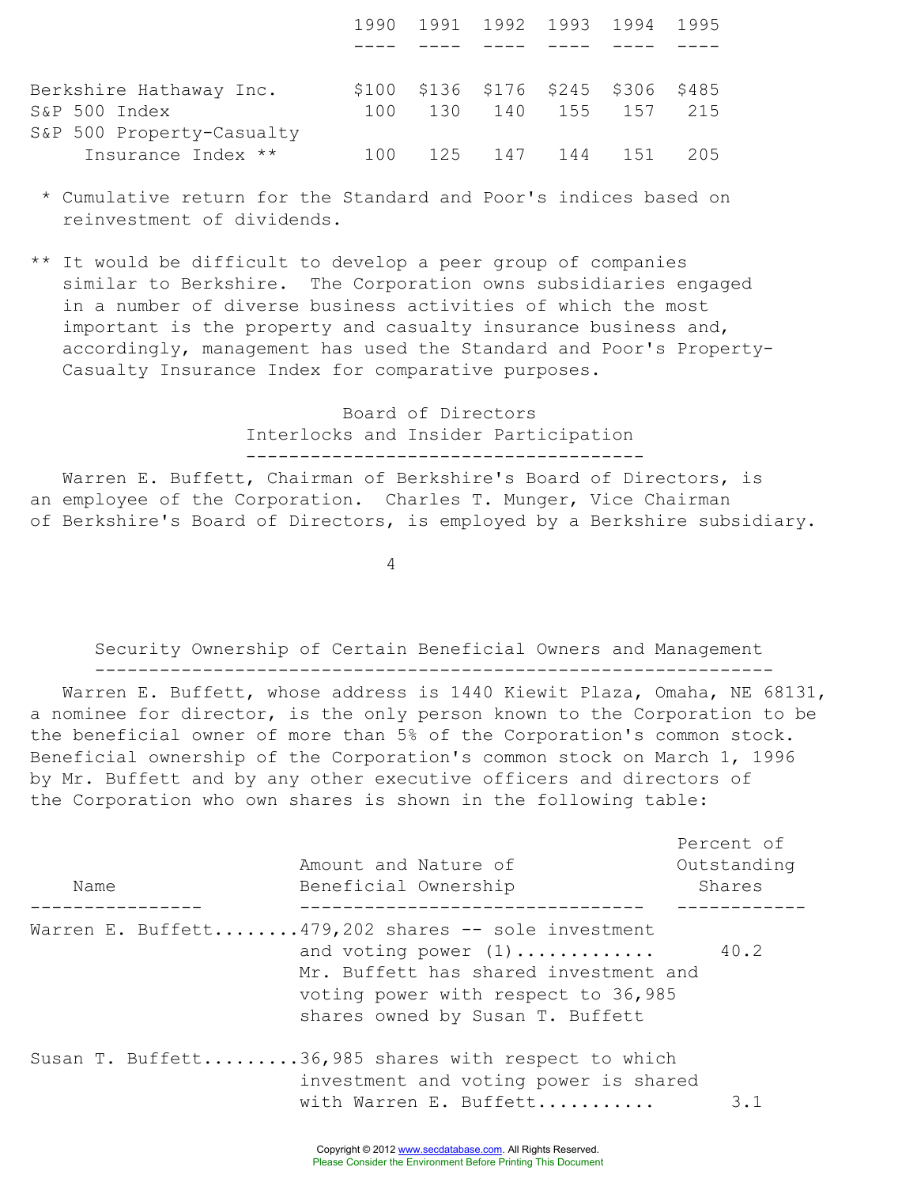|                           |     | 1990 1991 1992 1993 1994 1995       |  |                     |     |
|---------------------------|-----|-------------------------------------|--|---------------------|-----|
|                           |     |                                     |  |                     |     |
| Berkshire Hathaway Inc.   |     | \$100 \$136 \$176 \$245 \$306 \$485 |  |                     |     |
| S&P 500 Index             | 100 |                                     |  | 130 140 155 157 215 |     |
| S&P 500 Property-Casualty |     |                                     |  |                     |     |
| Insurance Index **        | 100 |                                     |  | 125 147 144 151     | 205 |

- \* Cumulative return for the Standard and Poor's indices based on reinvestment of dividends.
- \*\* It would be difficult to develop a peer group of companies similar to Berkshire. The Corporation owns subsidiaries engaged in a number of diverse business activities of which the most important is the property and casualty insurance business and, accordingly, management has used the Standard and Poor's Property-Casualty Insurance Index for comparative purposes.

Board of Directors Interlocks and Insider Participation -------------------------------------

Warren E. Buffett, Chairman of Berkshire's Board of Directors, is an employee of the Corporation. Charles T. Munger, Vice Chairman of Berkshire's Board of Directors, is employed by a Berkshire subsidiary.

4

Security Ownership of Certain Beneficial Owners and Management

---------------------------------------------------------------

Warren E. Buffett, whose address is 1440 Kiewit Plaza, Omaha, NE 68131, a nominee for director, is the only person known to the Corporation to be the beneficial owner of more than 5% of the Corporation's common stock. Beneficial ownership of the Corporation's common stock on March 1, 1996 by Mr. Buffett and by any other executive officers and directors of the Corporation who own shares is shown in the following table:

| Name | Amount and Nature of<br>Beneficial Ownership                                                                                                                                                     | Percent of<br>Outstanding<br>Shares |
|------|--------------------------------------------------------------------------------------------------------------------------------------------------------------------------------------------------|-------------------------------------|
|      | Warren E. Buffett479,202 shares -- sole investment<br>and voting power $(1)$<br>Mr. Buffett has shared investment and<br>voting power with respect to 36,985<br>shares owned by Susan T. Buffett | 40.2                                |
|      | Susan T. Buffett36,985 shares with respect to which<br>investment and voting power is shared<br>with Warren E. Buffett                                                                           | 3.1                                 |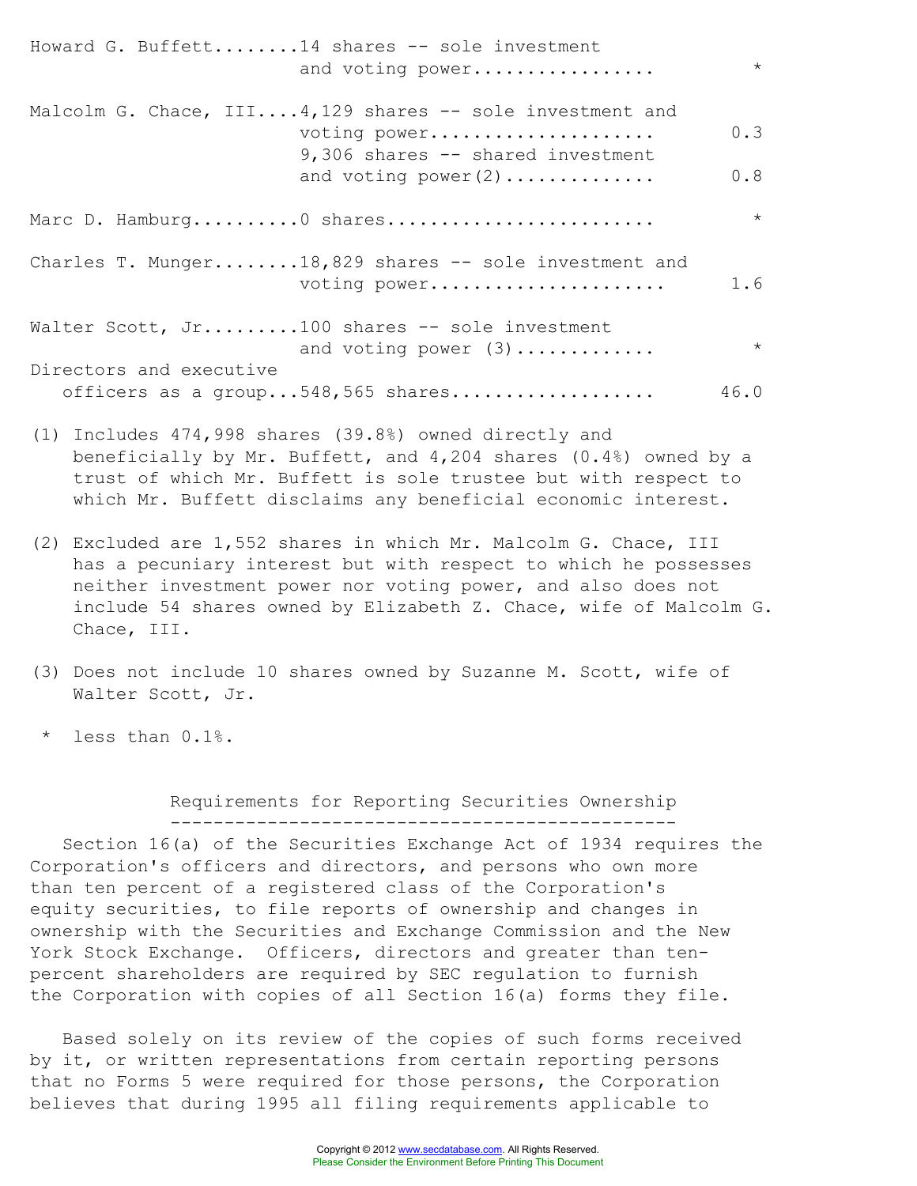Howard G. Buffett........14 shares -- sole investment and voting power................ Malcolm G. Chace,  $III...4,129$  shares -- sole investment and voting power..................... 0.3 9,306 shares -- shared investment and voting power(2).............. 0.8 Marc D. Hamburg..........0 shares......................... \* Charles T. Munger........18,829 shares -- sole investment and voting power...................... 1.6 Walter Scott, Jr.........100 shares -- sole investment and voting power (3)............. \* Directors and executive officers as a group...548,565 shares................... 46.0

- (1) Includes 474,998 shares (39.8%) owned directly and beneficially by Mr. Buffett, and 4,204 shares (0.4%) owned by a trust of which Mr. Buffett is sole trustee but with respect to which Mr. Buffett disclaims any beneficial economic interest.
- (2) Excluded are 1,552 shares in which Mr. Malcolm G. Chace, III has a pecuniary interest but with respect to which he possesses neither investment power nor voting power, and also does not include 54 shares owned by Elizabeth Z. Chace, wife of Malcolm G. Chace, III.
- (3) Does not include 10 shares owned by Suzanne M. Scott, wife of Walter Scott, Jr.
- less than 0.1%.

Requirements for Reporting Securities Ownership -----------------------------------------------

Section 16(a) of the Securities Exchange Act of 1934 requires the Corporation's officers and directors, and persons who own more than ten percent of a registered class of the Corporation's equity securities, to file reports of ownership and changes in ownership with the Securities and Exchange Commission and the New York Stock Exchange. Officers, directors and greater than tenpercent shareholders are required by SEC regulation to furnish the Corporation with copies of all Section 16(a) forms they file.

Based solely on its review of the copies of such forms received by it, or written representations from certain reporting persons that no Forms 5 were required for those persons, the Corporation believes that during 1995 all filing requirements applicable to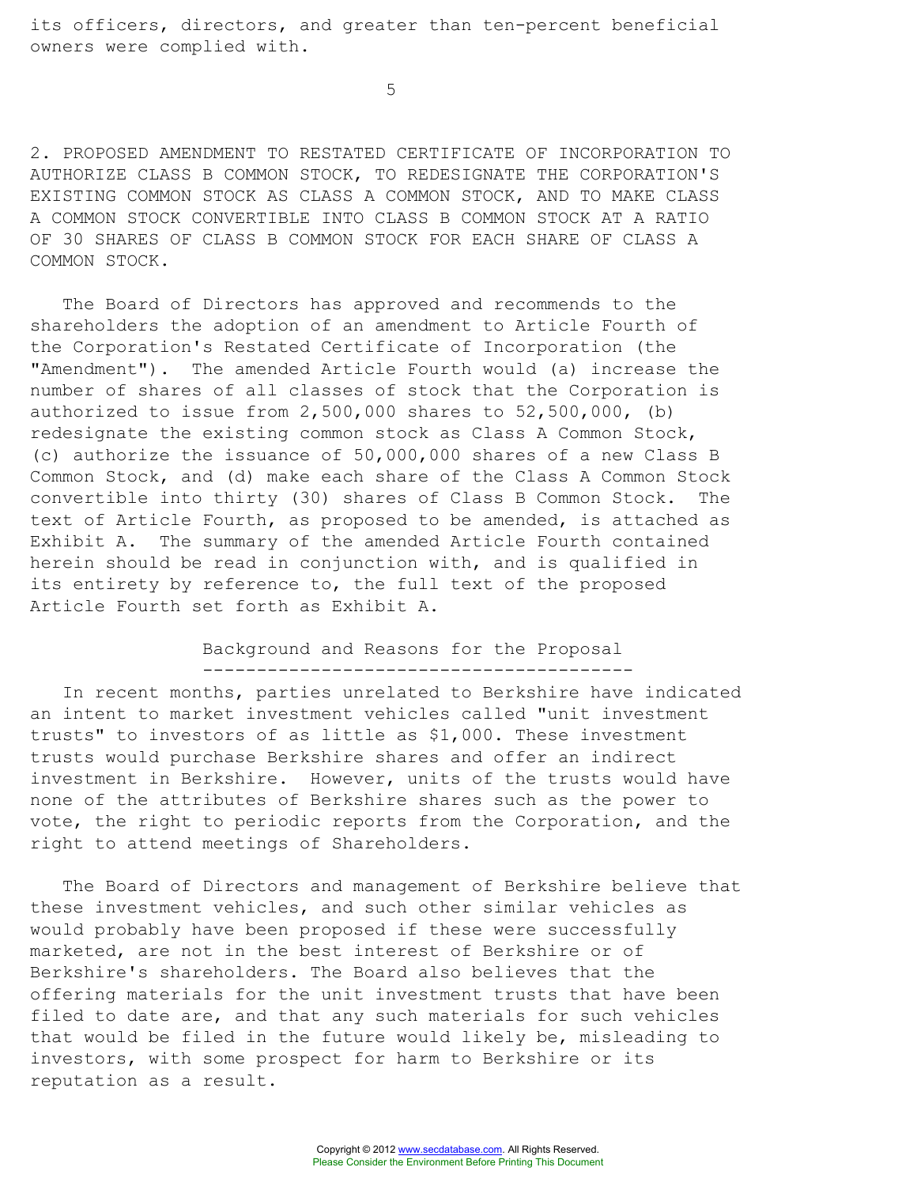its officers, directors, and greater than ten-percent beneficial owners were complied with.

5

2. PROPOSED AMENDMENT TO RESTATED CERTIFICATE OF INCORPORATION TO AUTHORIZE CLASS B COMMON STOCK, TO REDESIGNATE THE CORPORATION'S EXISTING COMMON STOCK AS CLASS A COMMON STOCK, AND TO MAKE CLASS A COMMON STOCK CONVERTIBLE INTO CLASS B COMMON STOCK AT A RATIO OF 30 SHARES OF CLASS B COMMON STOCK FOR EACH SHARE OF CLASS A COMMON STOCK.

The Board of Directors has approved and recommends to the shareholders the adoption of an amendment to Article Fourth of the Corporation's Restated Certificate of Incorporation (the "Amendment"). The amended Article Fourth would (a) increase the number of shares of all classes of stock that the Corporation is authorized to issue from 2,500,000 shares to 52,500,000, (b) redesignate the existing common stock as Class A Common Stock, (c) authorize the issuance of 50,000,000 shares of a new Class B Common Stock, and (d) make each share of the Class A Common Stock convertible into thirty (30) shares of Class B Common Stock. The text of Article Fourth, as proposed to be amended, is attached as Exhibit A. The summary of the amended Article Fourth contained herein should be read in conjunction with, and is qualified in its entirety by reference to, the full text of the proposed Article Fourth set forth as Exhibit A.

> Background and Reasons for the Proposal ----------------------------------------

In recent months, parties unrelated to Berkshire have indicated an intent to market investment vehicles called "unit investment trusts" to investors of as little as \$1,000. These investment trusts would purchase Berkshire shares and offer an indirect investment in Berkshire. However, units of the trusts would have none of the attributes of Berkshire shares such as the power to vote, the right to periodic reports from the Corporation, and the right to attend meetings of Shareholders.

The Board of Directors and management of Berkshire believe that these investment vehicles, and such other similar vehicles as would probably have been proposed if these were successfully marketed, are not in the best interest of Berkshire or of Berkshire's shareholders. The Board also believes that the offering materials for the unit investment trusts that have been filed to date are, and that any such materials for such vehicles that would be filed in the future would likely be, misleading to investors, with some prospect for harm to Berkshire or its reputation as a result.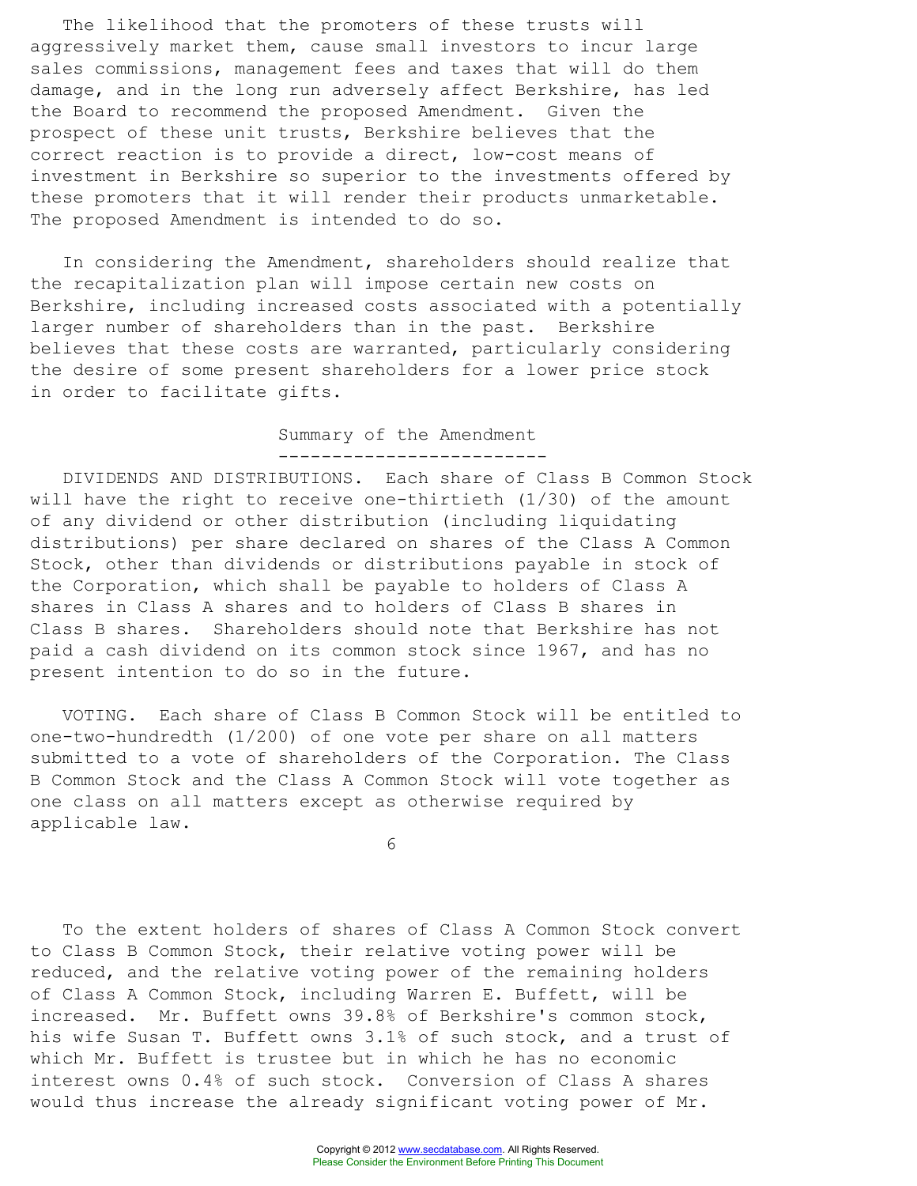The likelihood that the promoters of these trusts will aggressively market them, cause small investors to incur large sales commissions, management fees and taxes that will do them damage, and in the long run adversely affect Berkshire, has led the Board to recommend the proposed Amendment. Given the prospect of these unit trusts, Berkshire believes that the correct reaction is to provide a direct, low-cost means of investment in Berkshire so superior to the investments offered by these promoters that it will render their products unmarketable. The proposed Amendment is intended to do so.

In considering the Amendment, shareholders should realize that the recapitalization plan will impose certain new costs on Berkshire, including increased costs associated with a potentially larger number of shareholders than in the past. Berkshire believes that these costs are warranted, particularly considering the desire of some present shareholders for a lower price stock in order to facilitate gifts.

#### Summary of the Amendment -------------------------

DIVIDENDS AND DISTRIBUTIONS. Each share of Class B Common Stock will have the right to receive one-thirtieth (1/30) of the amount of any dividend or other distribution (including liquidating distributions) per share declared on shares of the Class A Common Stock, other than dividends or distributions payable in stock of the Corporation, which shall be payable to holders of Class A shares in Class A shares and to holders of Class B shares in Class B shares. Shareholders should note that Berkshire has not paid a cash dividend on its common stock since 1967, and has no present intention to do so in the future.

VOTING. Each share of Class B Common Stock will be entitled to one-two-hundredth (1/200) of one vote per share on all matters submitted to a vote of shareholders of the Corporation. The Class B Common Stock and the Class A Common Stock will vote together as one class on all matters except as otherwise required by applicable law.

6

To the extent holders of shares of Class A Common Stock convert to Class B Common Stock, their relative voting power will be reduced, and the relative voting power of the remaining holders of Class A Common Stock, including Warren E. Buffett, will be increased. Mr. Buffett owns 39.8% of Berkshire's common stock, his wife Susan T. Buffett owns 3.1% of such stock, and a trust of which Mr. Buffett is trustee but in which he has no economic interest owns 0.4% of such stock. Conversion of Class A shares would thus increase the already significant voting power of Mr.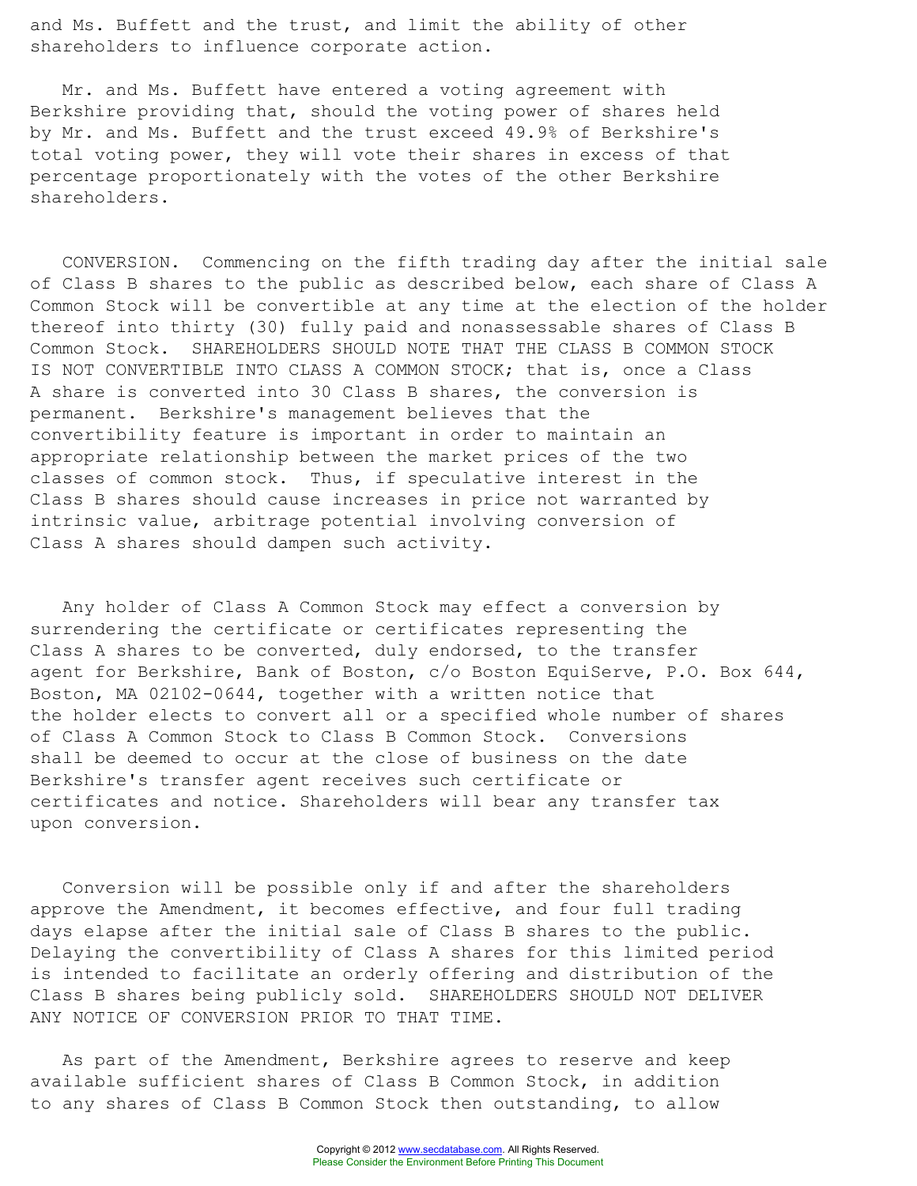and Ms. Buffett and the trust, and limit the ability of other shareholders to influence corporate action.

Mr. and Ms. Buffett have entered a voting agreement with Berkshire providing that, should the voting power of shares held by Mr. and Ms. Buffett and the trust exceed 49.9% of Berkshire's total voting power, they will vote their shares in excess of that percentage proportionately with the votes of the other Berkshire shareholders.

CONVERSION. Commencing on the fifth trading day after the initial sale of Class B shares to the public as described below, each share of Class A Common Stock will be convertible at any time at the election of the holder thereof into thirty (30) fully paid and nonassessable shares of Class B Common Stock. SHAREHOLDERS SHOULD NOTE THAT THE CLASS B COMMON STOCK IS NOT CONVERTIBLE INTO CLASS A COMMON STOCK; that is, once a Class A share is converted into 30 Class B shares, the conversion is permanent. Berkshire's management believes that the convertibility feature is important in order to maintain an appropriate relationship between the market prices of the two classes of common stock. Thus, if speculative interest in the Class B shares should cause increases in price not warranted by intrinsic value, arbitrage potential involving conversion of Class A shares should dampen such activity.

Any holder of Class A Common Stock may effect a conversion by surrendering the certificate or certificates representing the Class A shares to be converted, duly endorsed, to the transfer agent for Berkshire, Bank of Boston, c/o Boston EquiServe, P.O. Box 644, Boston, MA 02102-0644, together with a written notice that the holder elects to convert all or a specified whole number of shares of Class A Common Stock to Class B Common Stock. Conversions shall be deemed to occur at the close of business on the date Berkshire's transfer agent receives such certificate or certificates and notice. Shareholders will bear any transfer tax upon conversion.

Conversion will be possible only if and after the shareholders approve the Amendment, it becomes effective, and four full trading days elapse after the initial sale of Class B shares to the public. Delaying the convertibility of Class A shares for this limited period is intended to facilitate an orderly offering and distribution of the Class B shares being publicly sold. SHAREHOLDERS SHOULD NOT DELIVER ANY NOTICE OF CONVERSION PRIOR TO THAT TIME.

As part of the Amendment, Berkshire agrees to reserve and keep available sufficient shares of Class B Common Stock, in addition to any shares of Class B Common Stock then outstanding, to allow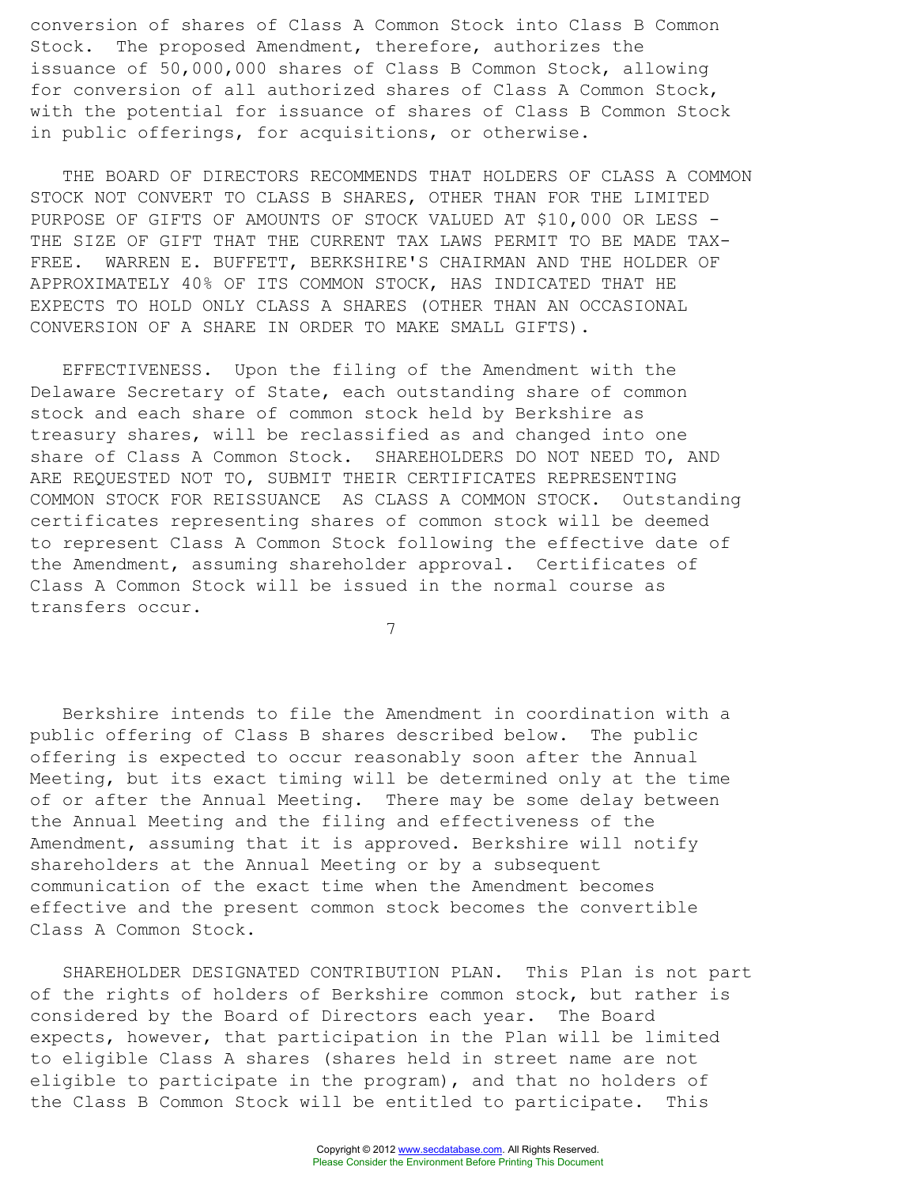conversion of shares of Class A Common Stock into Class B Common Stock. The proposed Amendment, therefore, authorizes the issuance of 50,000,000 shares of Class B Common Stock, allowing for conversion of all authorized shares of Class A Common Stock, with the potential for issuance of shares of Class B Common Stock in public offerings, for acquisitions, or otherwise.

THE BOARD OF DIRECTORS RECOMMENDS THAT HOLDERS OF CLASS A COMMON STOCK NOT CONVERT TO CLASS B SHARES, OTHER THAN FOR THE LIMITED PURPOSE OF GIFTS OF AMOUNTS OF STOCK VALUED AT \$10,000 OR LESS - THE SIZE OF GIFT THAT THE CURRENT TAX LAWS PERMIT TO BE MADE TAX-FREE. WARREN E. BUFFETT, BERKSHIRE'S CHAIRMAN AND THE HOLDER OF APPROXIMATELY 40% OF ITS COMMON STOCK, HAS INDICATED THAT HE EXPECTS TO HOLD ONLY CLASS A SHARES (OTHER THAN AN OCCASIONAL CONVERSION OF A SHARE IN ORDER TO MAKE SMALL GIFTS).

EFFECTIVENESS. Upon the filing of the Amendment with the Delaware Secretary of State, each outstanding share of common stock and each share of common stock held by Berkshire as treasury shares, will be reclassified as and changed into one share of Class A Common Stock. SHAREHOLDERS DO NOT NEED TO, AND ARE REQUESTED NOT TO, SUBMIT THEIR CERTIFICATES REPRESENTING COMMON STOCK FOR REISSUANCE AS CLASS A COMMON STOCK. Outstanding certificates representing shares of common stock will be deemed to represent Class A Common Stock following the effective date of the Amendment, assuming shareholder approval. Certificates of Class A Common Stock will be issued in the normal course as transfers occur.

7

Berkshire intends to file the Amendment in coordination with a public offering of Class B shares described below. The public offering is expected to occur reasonably soon after the Annual Meeting, but its exact timing will be determined only at the time of or after the Annual Meeting. There may be some delay between the Annual Meeting and the filing and effectiveness of the Amendment, assuming that it is approved. Berkshire will notify shareholders at the Annual Meeting or by a subsequent communication of the exact time when the Amendment becomes effective and the present common stock becomes the convertible Class A Common Stock.

SHAREHOLDER DESIGNATED CONTRIBUTION PLAN. This Plan is not part of the rights of holders of Berkshire common stock, but rather is considered by the Board of Directors each year. The Board expects, however, that participation in the Plan will be limited to eligible Class A shares (shares held in street name are not eligible to participate in the program), and that no holders of the Class B Common Stock will be entitled to participate. This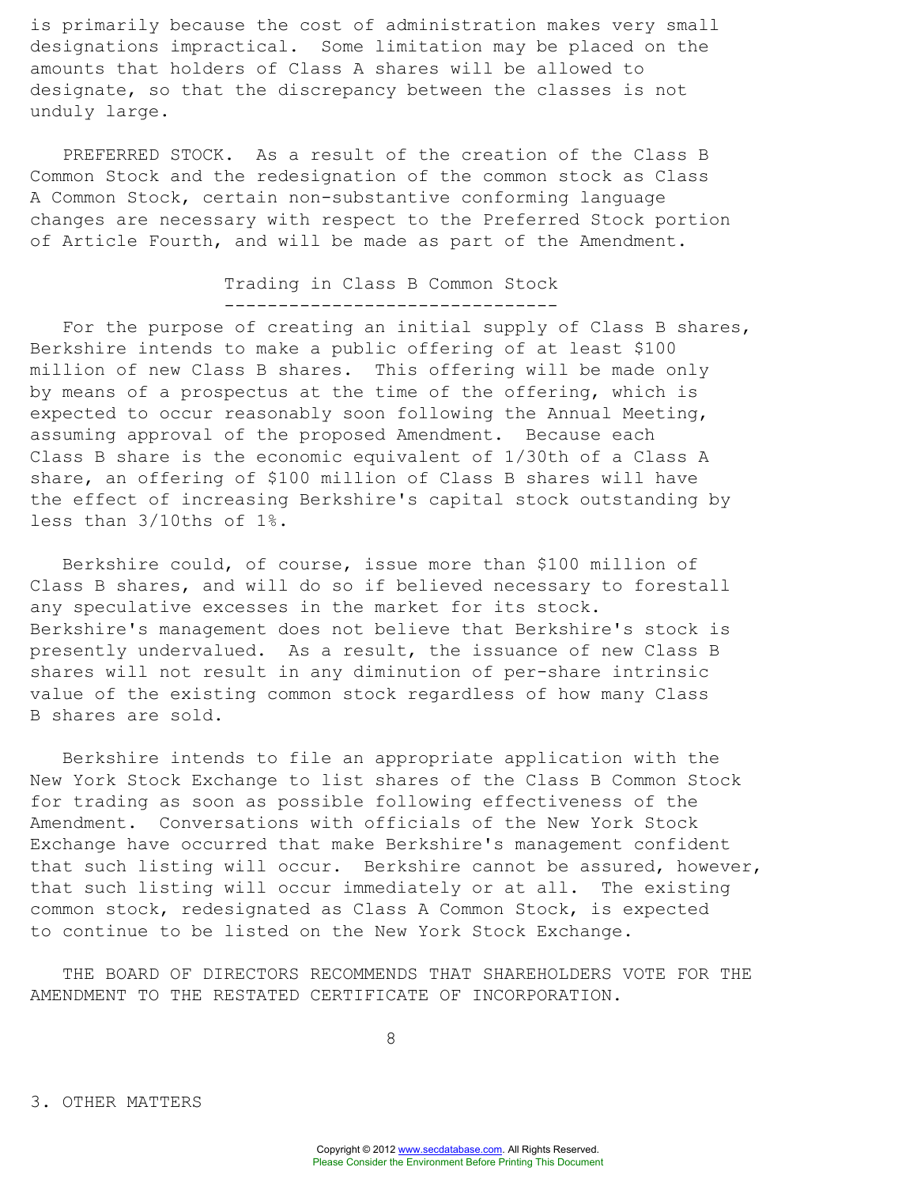is primarily because the cost of administration makes very small designations impractical. Some limitation may be placed on the amounts that holders of Class A shares will be allowed to designate, so that the discrepancy between the classes is not unduly large.

PREFERRED STOCK. As a result of the creation of the Class B Common Stock and the redesignation of the common stock as Class A Common Stock, certain non-substantive conforming language changes are necessary with respect to the Preferred Stock portion of Article Fourth, and will be made as part of the Amendment.

## Trading in Class B Common Stock -------------------------------

For the purpose of creating an initial supply of Class B shares, Berkshire intends to make a public offering of at least \$100 million of new Class B shares. This offering will be made only by means of a prospectus at the time of the offering, which is expected to occur reasonably soon following the Annual Meeting, assuming approval of the proposed Amendment. Because each Class B share is the economic equivalent of 1/30th of a Class A share, an offering of \$100 million of Class B shares will have the effect of increasing Berkshire's capital stock outstanding by less than 3/10ths of 1%.

Berkshire could, of course, issue more than \$100 million of Class B shares, and will do so if believed necessary to forestall any speculative excesses in the market for its stock. Berkshire's management does not believe that Berkshire's stock is presently undervalued. As a result, the issuance of new Class B shares will not result in any diminution of per-share intrinsic value of the existing common stock regardless of how many Class B shares are sold.

Berkshire intends to file an appropriate application with the New York Stock Exchange to list shares of the Class B Common Stock for trading as soon as possible following effectiveness of the Amendment. Conversations with officials of the New York Stock Exchange have occurred that make Berkshire's management confident that such listing will occur. Berkshire cannot be assured, however, that such listing will occur immediately or at all. The existing common stock, redesignated as Class A Common Stock, is expected to continue to be listed on the New York Stock Exchange.

THE BOARD OF DIRECTORS RECOMMENDS THAT SHAREHOLDERS VOTE FOR THE AMENDMENT TO THE RESTATED CERTIFICATE OF INCORPORATION.

8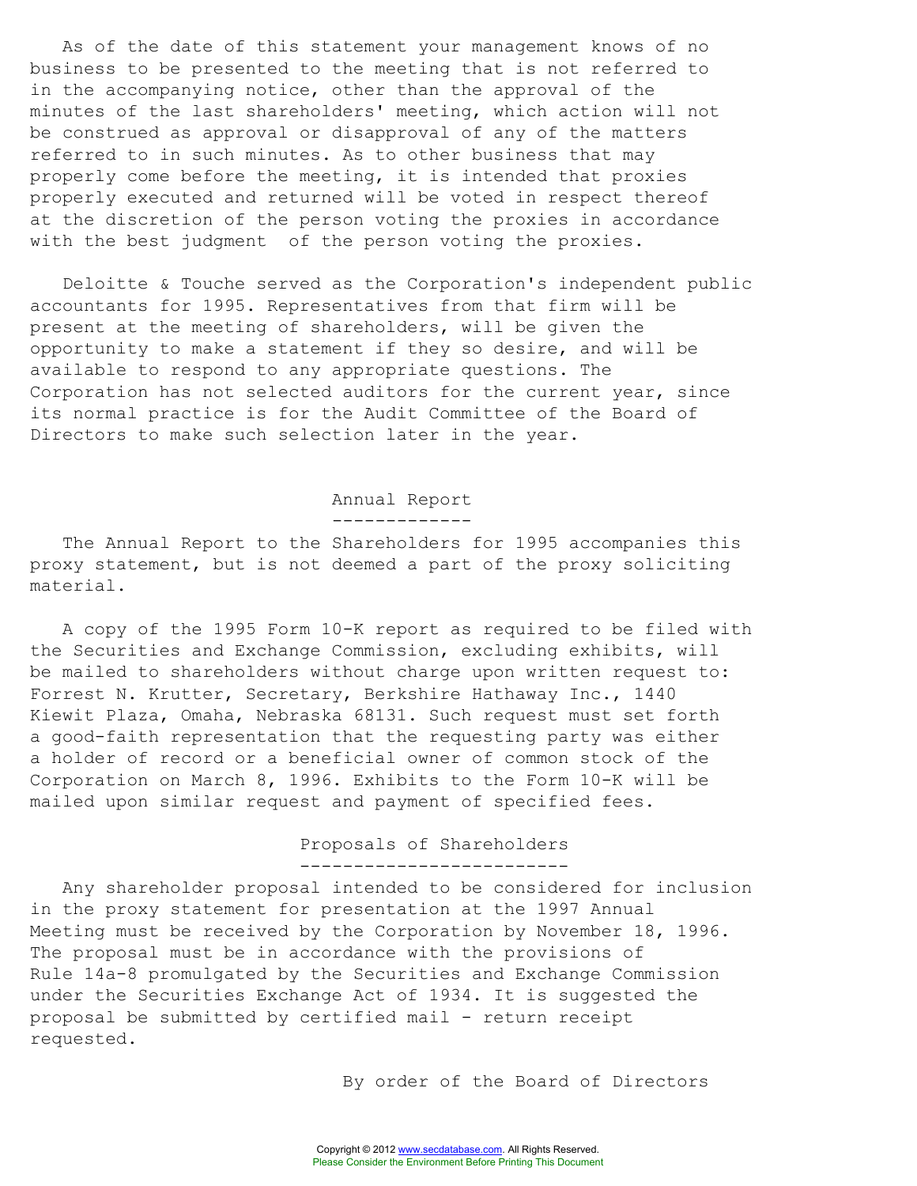As of the date of this statement your management knows of no business to be presented to the meeting that is not referred to in the accompanying notice, other than the approval of the minutes of the last shareholders' meeting, which action will not be construed as approval or disapproval of any of the matters referred to in such minutes. As to other business that may properly come before the meeting, it is intended that proxies properly executed and returned will be voted in respect thereof at the discretion of the person voting the proxies in accordance with the best judgment of the person voting the proxies.

Deloitte & Touche served as the Corporation's independent public accountants for 1995. Representatives from that firm will be present at the meeting of shareholders, will be given the opportunity to make a statement if they so desire, and will be available to respond to any appropriate questions. The Corporation has not selected auditors for the current year, since its normal practice is for the Audit Committee of the Board of Directors to make such selection later in the year.

> Annual Report -------------

The Annual Report to the Shareholders for 1995 accompanies this proxy statement, but is not deemed a part of the proxy soliciting material.

A copy of the 1995 Form 10-K report as required to be filed with the Securities and Exchange Commission, excluding exhibits, will be mailed to shareholders without charge upon written request to: Forrest N. Krutter, Secretary, Berkshire Hathaway Inc., 1440 Kiewit Plaza, Omaha, Nebraska 68131. Such request must set forth a good-faith representation that the requesting party was either a holder of record or a beneficial owner of common stock of the Corporation on March 8, 1996. Exhibits to the Form 10-K will be mailed upon similar request and payment of specified fees.

# Proposals of Shareholders

-------------------------

Any shareholder proposal intended to be considered for inclusion in the proxy statement for presentation at the 1997 Annual Meeting must be received by the Corporation by November 18, 1996. The proposal must be in accordance with the provisions of Rule 14a-8 promulgated by the Securities and Exchange Commission under the Securities Exchange Act of 1934. It is suggested the proposal be submitted by certified mail - return receipt requested.

By order of the Board of Directors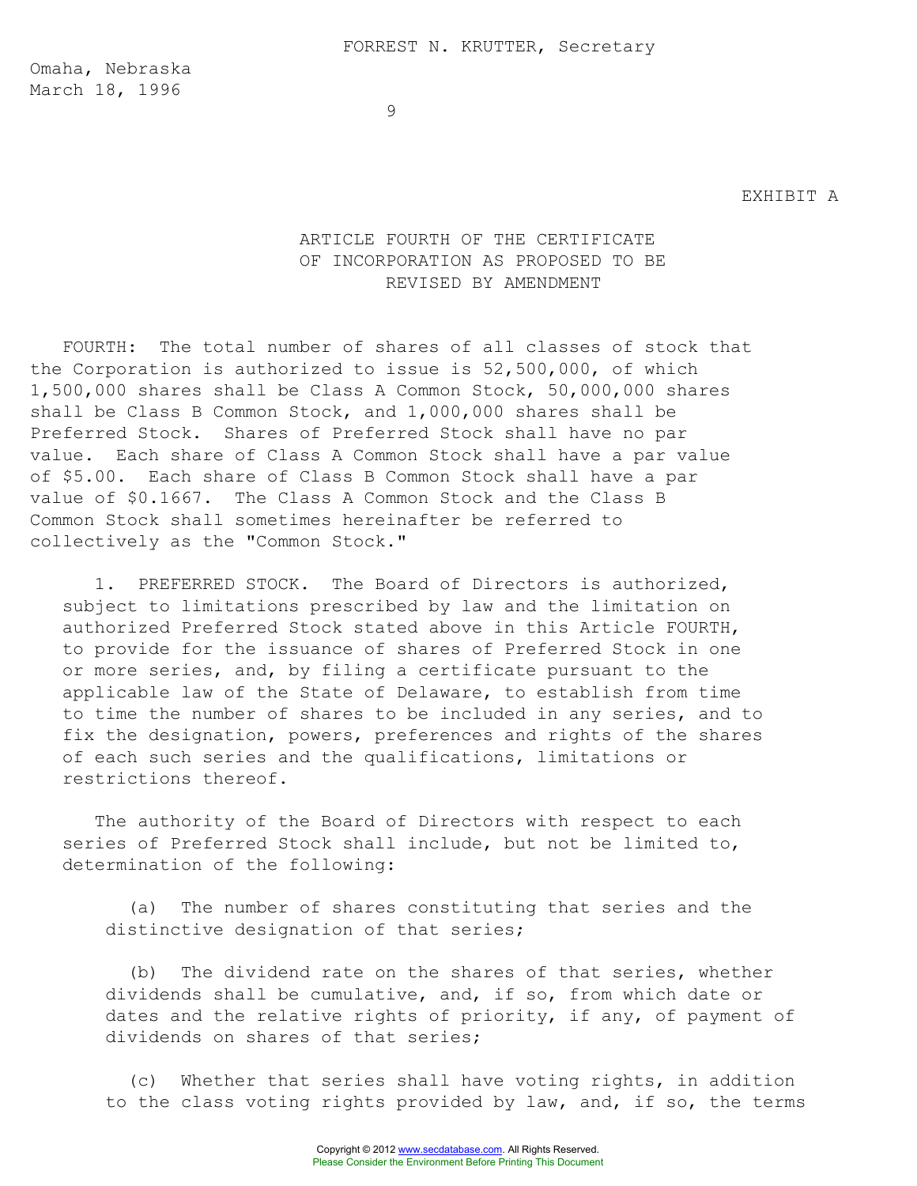Omaha, Nebraska March 18, 1996

#### EXHIBIT A

# ARTICLE FOURTH OF THE CERTIFICATE OF INCORPORATION AS PROPOSED TO BE REVISED BY AMENDMENT

FOURTH: The total number of shares of all classes of stock that the Corporation is authorized to issue is 52,500,000, of which 1,500,000 shares shall be Class A Common Stock, 50,000,000 shares shall be Class B Common Stock, and 1,000,000 shares shall be Preferred Stock. Shares of Preferred Stock shall have no par value. Each share of Class A Common Stock shall have a par value of \$5.00. Each share of Class B Common Stock shall have a par value of \$0.1667. The Class A Common Stock and the Class B Common Stock shall sometimes hereinafter be referred to collectively as the "Common Stock."

1. PREFERRED STOCK. The Board of Directors is authorized, subject to limitations prescribed by law and the limitation on authorized Preferred Stock stated above in this Article FOURTH, to provide for the issuance of shares of Preferred Stock in one or more series, and, by filing a certificate pursuant to the applicable law of the State of Delaware, to establish from time to time the number of shares to be included in any series, and to fix the designation, powers, preferences and rights of the shares of each such series and the qualifications, limitations or restrictions thereof.

The authority of the Board of Directors with respect to each series of Preferred Stock shall include, but not be limited to, determination of the following:

(a) The number of shares constituting that series and the distinctive designation of that series;

(b) The dividend rate on the shares of that series, whether dividends shall be cumulative, and, if so, from which date or dates and the relative rights of priority, if any, of payment of dividends on shares of that series;

(c) Whether that series shall have voting rights, in addition to the class voting rights provided by law, and, if so, the terms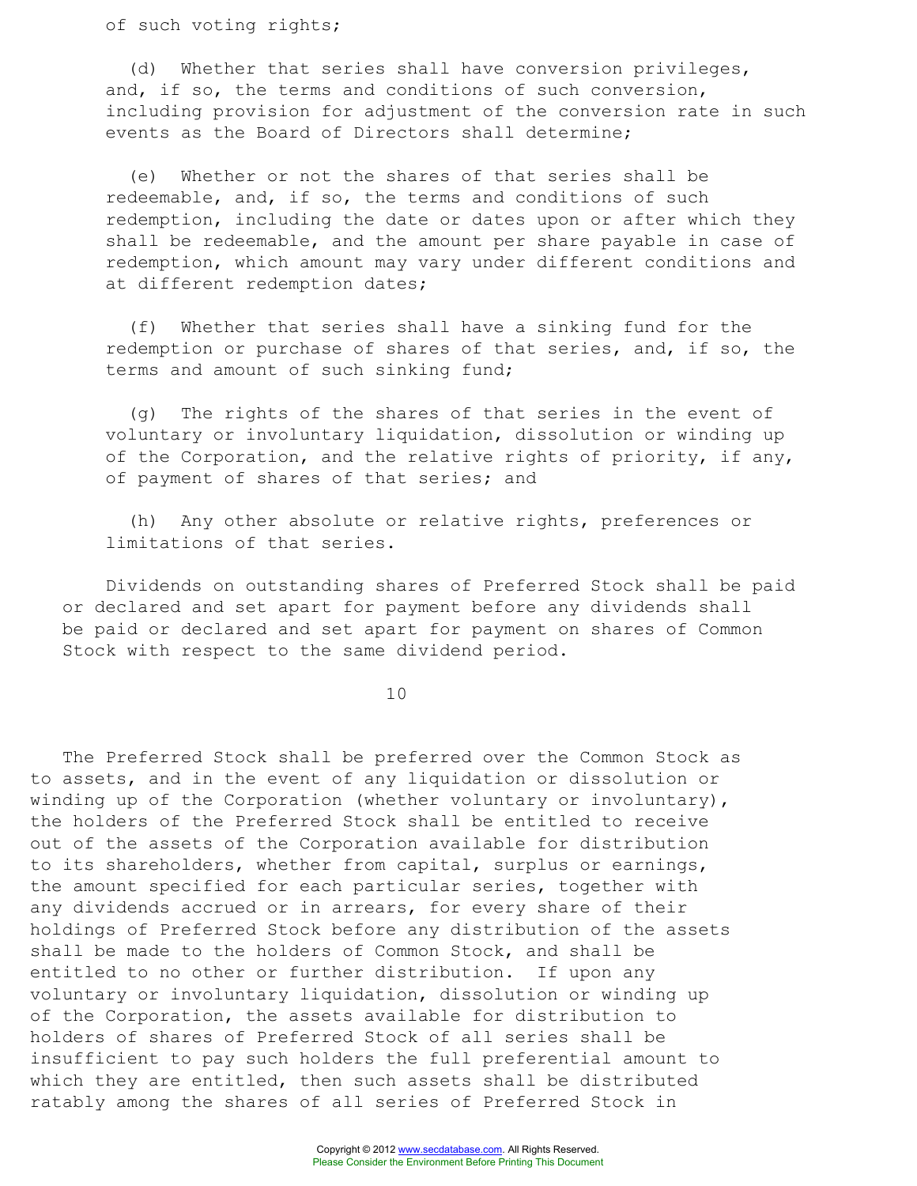of such voting rights;

(d) Whether that series shall have conversion privileges, and, if so, the terms and conditions of such conversion, including provision for adjustment of the conversion rate in such events as the Board of Directors shall determine;

(e) Whether or not the shares of that series shall be redeemable, and, if so, the terms and conditions of such redemption, including the date or dates upon or after which they shall be redeemable, and the amount per share payable in case of redemption, which amount may vary under different conditions and at different redemption dates;

(f) Whether that series shall have a sinking fund for the redemption or purchase of shares of that series, and, if so, the terms and amount of such sinking fund;

(g) The rights of the shares of that series in the event of voluntary or involuntary liquidation, dissolution or winding up of the Corporation, and the relative rights of priority, if any, of payment of shares of that series; and

(h) Any other absolute or relative rights, preferences or limitations of that series.

Dividends on outstanding shares of Preferred Stock shall be paid or declared and set apart for payment before any dividends shall be paid or declared and set apart for payment on shares of Common Stock with respect to the same dividend period.

10

The Preferred Stock shall be preferred over the Common Stock as to assets, and in the event of any liquidation or dissolution or winding up of the Corporation (whether voluntary or involuntary), the holders of the Preferred Stock shall be entitled to receive out of the assets of the Corporation available for distribution to its shareholders, whether from capital, surplus or earnings, the amount specified for each particular series, together with any dividends accrued or in arrears, for every share of their holdings of Preferred Stock before any distribution of the assets shall be made to the holders of Common Stock, and shall be entitled to no other or further distribution. If upon any voluntary or involuntary liquidation, dissolution or winding up of the Corporation, the assets available for distribution to holders of shares of Preferred Stock of all series shall be insufficient to pay such holders the full preferential amount to which they are entitled, then such assets shall be distributed ratably among the shares of all series of Preferred Stock in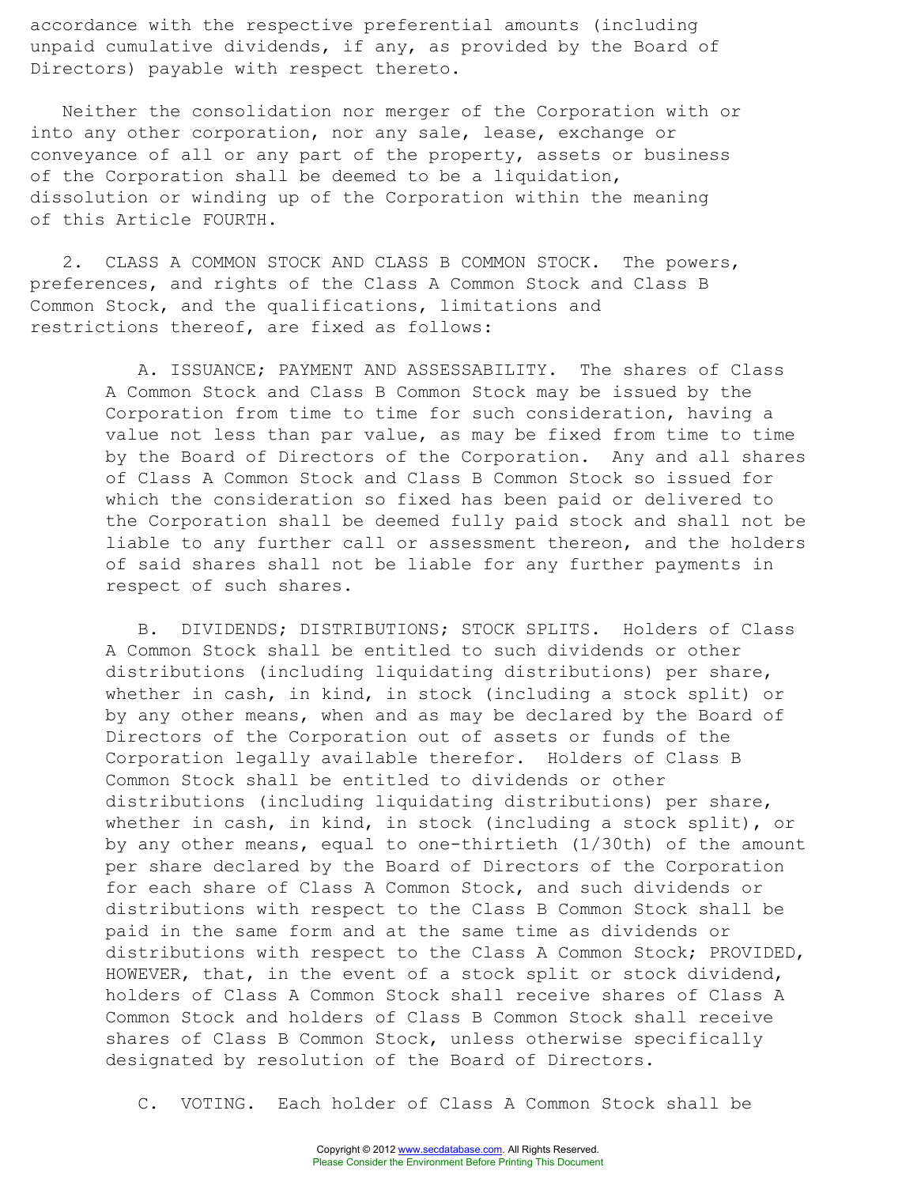accordance with the respective preferential amounts (including unpaid cumulative dividends, if any, as provided by the Board of Directors) payable with respect thereto.

Neither the consolidation nor merger of the Corporation with or into any other corporation, nor any sale, lease, exchange or conveyance of all or any part of the property, assets or business of the Corporation shall be deemed to be a liquidation, dissolution or winding up of the Corporation within the meaning of this Article FOURTH.

2. CLASS A COMMON STOCK AND CLASS B COMMON STOCK. The powers, preferences, and rights of the Class A Common Stock and Class B Common Stock, and the qualifications, limitations and restrictions thereof, are fixed as follows:

> A. ISSUANCE; PAYMENT AND ASSESSABILITY. The shares of Class A Common Stock and Class B Common Stock may be issued by the Corporation from time to time for such consideration, having a value not less than par value, as may be fixed from time to time by the Board of Directors of the Corporation. Any and all shares of Class A Common Stock and Class B Common Stock so issued for which the consideration so fixed has been paid or delivered to the Corporation shall be deemed fully paid stock and shall not be liable to any further call or assessment thereon, and the holders of said shares shall not be liable for any further payments in respect of such shares.

> B. DIVIDENDS; DISTRIBUTIONS; STOCK SPLITS. Holders of Class A Common Stock shall be entitled to such dividends or other distributions (including liquidating distributions) per share, whether in cash, in kind, in stock (including a stock split) or by any other means, when and as may be declared by the Board of Directors of the Corporation out of assets or funds of the Corporation legally available therefor. Holders of Class B Common Stock shall be entitled to dividends or other distributions (including liquidating distributions) per share, whether in cash, in kind, in stock (including a stock split), or by any other means, equal to one-thirtieth (1/30th) of the amount per share declared by the Board of Directors of the Corporation for each share of Class A Common Stock, and such dividends or distributions with respect to the Class B Common Stock shall be paid in the same form and at the same time as dividends or distributions with respect to the Class A Common Stock; PROVIDED, HOWEVER, that, in the event of a stock split or stock dividend, holders of Class A Common Stock shall receive shares of Class A Common Stock and holders of Class B Common Stock shall receive shares of Class B Common Stock, unless otherwise specifically designated by resolution of the Board of Directors.

C. VOTING. Each holder of Class A Common Stock shall be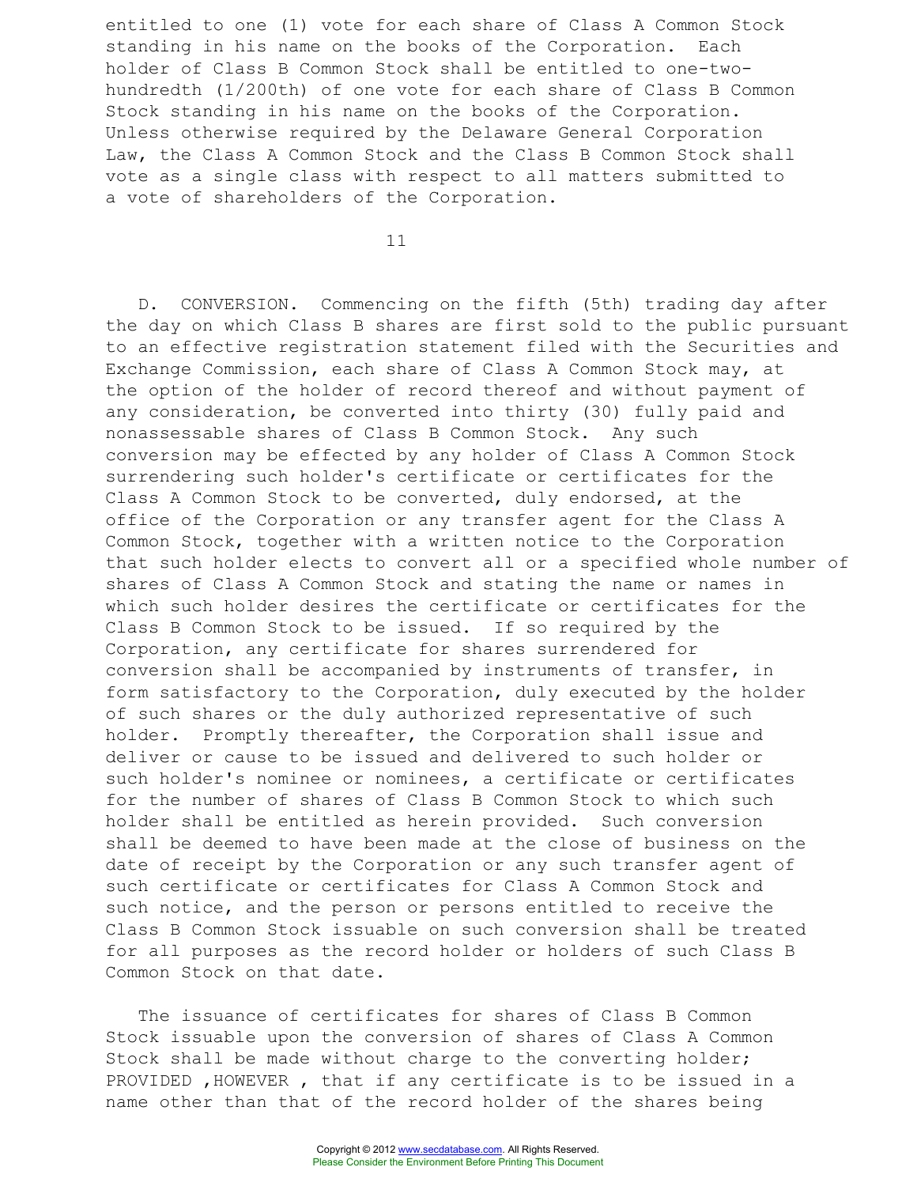entitled to one (1) vote for each share of Class A Common Stock standing in his name on the books of the Corporation. Each holder of Class B Common Stock shall be entitled to one-twohundredth (1/200th) of one vote for each share of Class B Common Stock standing in his name on the books of the Corporation. Unless otherwise required by the Delaware General Corporation Law, the Class A Common Stock and the Class B Common Stock shall vote as a single class with respect to all matters submitted to a vote of shareholders of the Corporation.

11

D. CONVERSION. Commencing on the fifth (5th) trading day after the day on which Class B shares are first sold to the public pursuant to an effective registration statement filed with the Securities and Exchange Commission, each share of Class A Common Stock may, at the option of the holder of record thereof and without payment of any consideration, be converted into thirty (30) fully paid and nonassessable shares of Class B Common Stock. Any such conversion may be effected by any holder of Class A Common Stock surrendering such holder's certificate or certificates for the Class A Common Stock to be converted, duly endorsed, at the office of the Corporation or any transfer agent for the Class A Common Stock, together with a written notice to the Corporation that such holder elects to convert all or a specified whole number of shares of Class A Common Stock and stating the name or names in which such holder desires the certificate or certificates for the Class B Common Stock to be issued. If so required by the Corporation, any certificate for shares surrendered for conversion shall be accompanied by instruments of transfer, in form satisfactory to the Corporation, duly executed by the holder of such shares or the duly authorized representative of such holder. Promptly thereafter, the Corporation shall issue and deliver or cause to be issued and delivered to such holder or such holder's nominee or nominees, a certificate or certificates for the number of shares of Class B Common Stock to which such holder shall be entitled as herein provided. Such conversion shall be deemed to have been made at the close of business on the date of receipt by the Corporation or any such transfer agent of such certificate or certificates for Class A Common Stock and such notice, and the person or persons entitled to receive the Class B Common Stock issuable on such conversion shall be treated for all purposes as the record holder or holders of such Class B Common Stock on that date.

The issuance of certificates for shares of Class B Common Stock issuable upon the conversion of shares of Class A Common Stock shall be made without charge to the converting holder; PROVIDED ,HOWEVER , that if any certificate is to be issued in a name other than that of the record holder of the shares being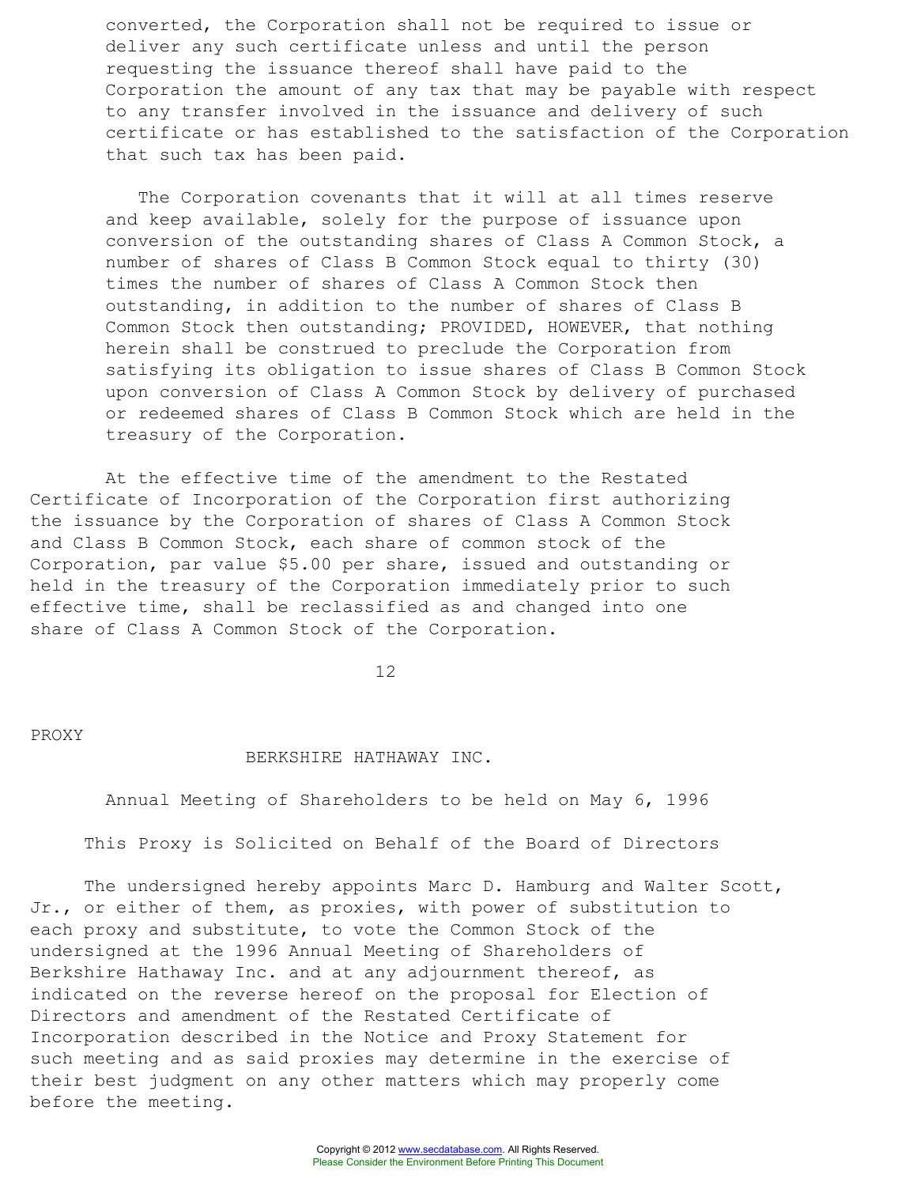converted, the Corporation shall not be required to issue or deliver any such certificate unless and until the person requesting the issuance thereof shall have paid to the Corporation the amount of any tax that may be payable with respect to any transfer involved in the issuance and delivery of such certificate or has established to the satisfaction of the Corporation that such tax has been paid.

The Corporation covenants that it will at all times reserve and keep available, solely for the purpose of issuance upon conversion of the outstanding shares of Class A Common Stock, a number of shares of Class B Common Stock equal to thirty (30) times the number of shares of Class A Common Stock then outstanding, in addition to the number of shares of Class B Common Stock then outstanding; PROVIDED, HOWEVER, that nothing herein shall be construed to preclude the Corporation from satisfying its obligation to issue shares of Class B Common Stock upon conversion of Class A Common Stock by delivery of purchased or redeemed shares of Class B Common Stock which are held in the treasury of the Corporation.

At the effective time of the amendment to the Restated Certificate of Incorporation of the Corporation first authorizing the issuance by the Corporation of shares of Class A Common Stock and Class B Common Stock, each share of common stock of the Corporation, par value \$5.00 per share, issued and outstanding or held in the treasury of the Corporation immediately prior to such effective time, shall be reclassified as and changed into one share of Class A Common Stock of the Corporation.

12

PROXY

#### BERKSHIRE HATHAWAY INC.

Annual Meeting of Shareholders to be held on May 6, 1996

This Proxy is Solicited on Behalf of the Board of Directors

The undersigned hereby appoints Marc D. Hamburg and Walter Scott, Jr., or either of them, as proxies, with power of substitution to each proxy and substitute, to vote the Common Stock of the undersigned at the 1996 Annual Meeting of Shareholders of Berkshire Hathaway Inc. and at any adjournment thereof, as indicated on the reverse hereof on the proposal for Election of Directors and amendment of the Restated Certificate of Incorporation described in the Notice and Proxy Statement for such meeting and as said proxies may determine in the exercise of their best judgment on any other matters which may properly come before the meeting.